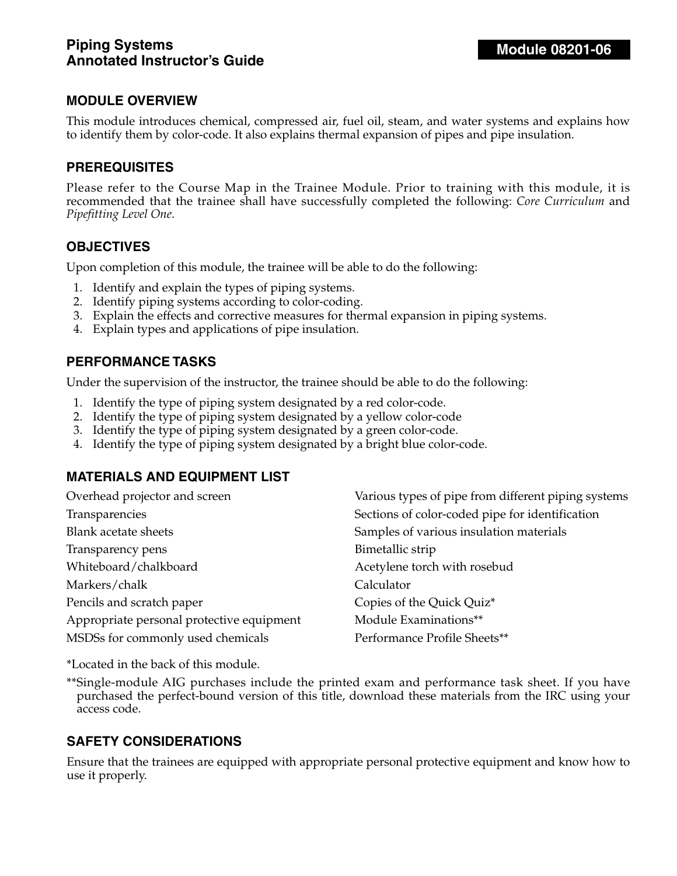This module introduces chemical, compressed air, fuel oil, steam, and water systems and explains how to identify them by color-code. It also explains thermal expansion of pipes and pipe insulation.

### **PREREQUISITES**

Please refer to the Course Map in the Trainee Module. Prior to training with this module, it is recommended that the trainee shall have successfully completed the following: *Core Curriculum* and *Pipefitting Level One*.

### **OBJECTIVES**

Upon completion of this module, the trainee will be able to do the following:

- 1. Identify and explain the types of piping systems.
- 2. Identify piping systems according to color-coding.
- 3. Explain the effects and corrective measures for thermal expansion in piping systems.
- 4. Explain types and applications of pipe insulation.

#### **PERFORMANCE TASKS**

Under the supervision of the instructor, the trainee should be able to do the following:

- 1. Identify the type of piping system designated by a red color-code.
- 2. Identify the type of piping system designated by a yellow color-code
- 3. Identify the type of piping system designated by a green color-code.
- 4. Identify the type of piping system designated by a bright blue color-code.

### **MATERIALS AND EQUIPMENT LIST**

| Overhead projector and screen             | Various types of pipe from different piping systems |
|-------------------------------------------|-----------------------------------------------------|
| Transparencies                            | Sections of color-coded pipe for identification     |
| <b>Blank acetate sheets</b>               | Samples of various insulation materials             |
| Transparency pens                         | Bimetallic strip                                    |
| Whiteboard/chalkboard                     | Acetylene torch with rosebud                        |
| Markers/chalk                             | Calculator                                          |
| Pencils and scratch paper                 | Copies of the Quick Quiz*                           |
| Appropriate personal protective equipment | Module Examinations**                               |
| MSDSs for commonly used chemicals         | Performance Profile Sheets**                        |

\*Located in the back of this module.

\*\*Single-module AIG purchases include the printed exam and performance task sheet. If you have purchased the perfect-bound version of this title, download these materials from the IRC using your access code.

### **SAFETY CONSIDERATIONS**

Ensure that the trainees are equipped with appropriate personal protective equipment and know how to use it properly.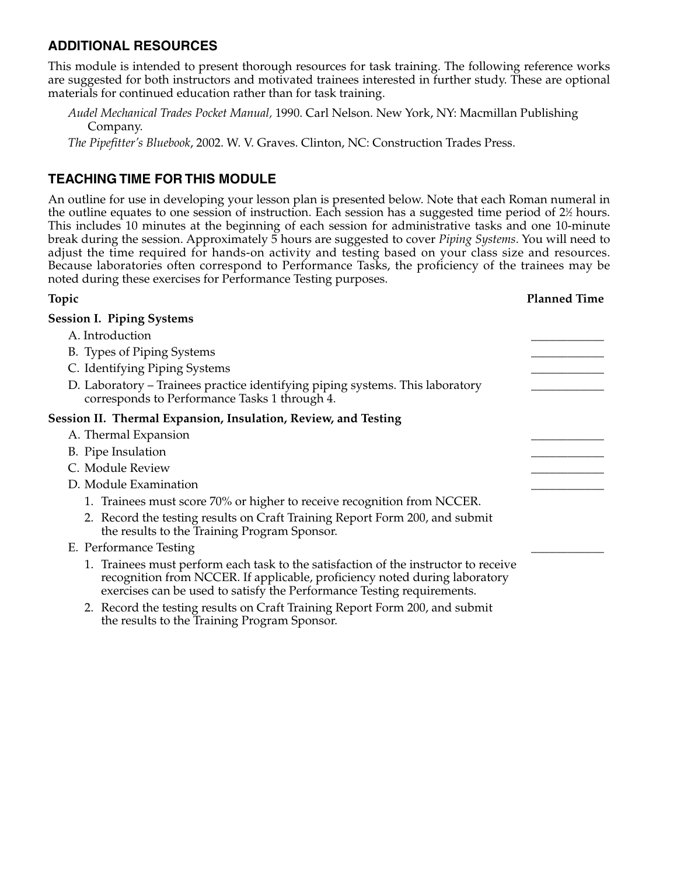### **ADDITIONAL RESOURCES**

This module is intended to present thorough resources for task training. The following reference works are suggested for both instructors and motivated trainees interested in further study. These are optional materials for continued education rather than for task training.

*Audel Mechanical Trades Pocket Manual,* 1990. Carl Nelson. New York, NY: Macmillan Publishing Company.

*The Pipefitter's Bluebook*, 2002. W. V. Graves. Clinton, NC: Construction Trades Press.

### **TEACHING TIME FOR THIS MODULE**

An outline for use in developing your lesson plan is presented below. Note that each Roman numeral in the outline equates to one session of instruction. Each session has a suggested time period of 2½ hours. This includes 10 minutes at the beginning of each session for administrative tasks and one 10-minute break during the session. Approximately 5 hours are suggested to cover *Piping Systems*. You will need to adjust the time required for hands-on activity and testing based on your class size and resources. Because laboratories often correspond to Performance Tasks, the proficiency of the trainees may be noted during these exercises for Performance Testing purposes.

# **Topic Planned Time Session I. Piping Systems**  A. Introduction B. Types of Piping Systems C. Identifying Piping Systems D. Laboratory – Trainees practice identifying piping systems. This laboratory corresponds to Performance Tasks 1 through 4. **Session II. Thermal Expansion, Insulation, Review, and Testing** A. Thermal Expansion B. Pipe Insulation C. Module Review D. Module Examination 1. Trainees must score 70% or higher to receive recognition from NCCER. 2. Record the testing results on Craft Training Report Form 200, and submit the results to the Training Program Sponsor. E. Performance Testing 1. Trainees must perform each task to the satisfaction of the instructor to receive recognition from NCCER. If applicable, proficiency noted during laboratory exercises can be used to satisfy the Performance Testing requirements.

2. Record the testing results on Craft Training Report Form 200, and submit the results to the Training Program Sponsor.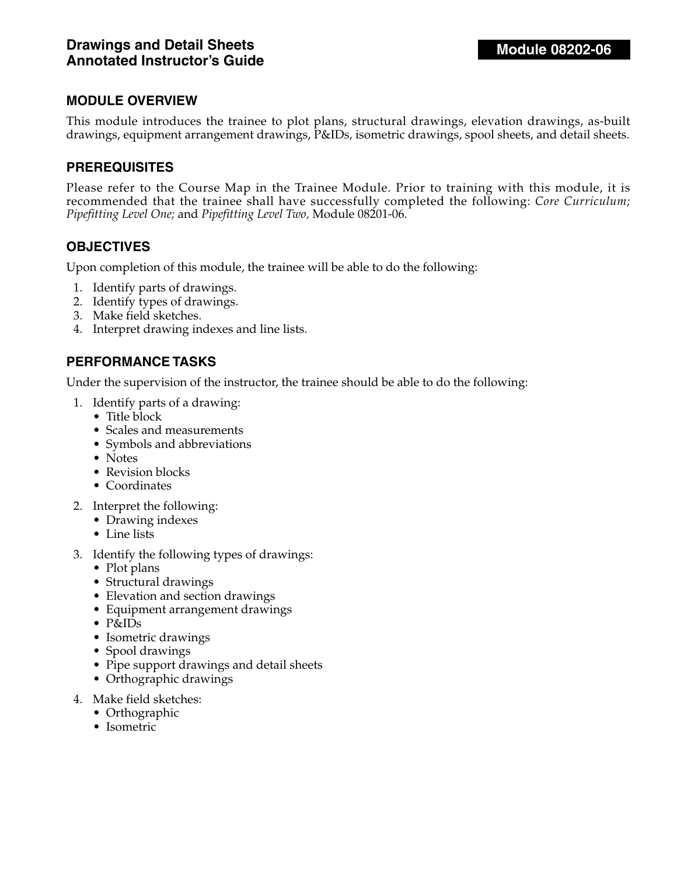This module introduces the trainee to plot plans, structural drawings, elevation drawings, as-built drawings, equipment arrangement drawings, P&IDs, isometric drawings, spool sheets, and detail sheets.

### **PREREQUISITES**

Please refer to the Course Map in the Trainee Module. Prior to training with this module, it is recommended that the trainee shall have successfully completed the following: *Core Curriculum; Pipefitting Level One;* and *Pipefitting Level Two,* Module 08201-06.

### **OBJECTIVES**

Upon completion of this module, the trainee will be able to do the following:

- 1. Identify parts of drawings.
- 2. Identify types of drawings.
- 3. Make field sketches.
- 4. Interpret drawing indexes and line lists.

### **PERFORMANCE TASKS**

Under the supervision of the instructor, the trainee should be able to do the following:

- 1. Identify parts of a drawing:
	- Title block
	- Scales and measurements
	- Symbols and abbreviations
	- Notes
	- Revision blocks
	- Coordinates
- 2. Interpret the following:
	- Drawing indexes
	- Line lists
- 3. Identify the following types of drawings:
	- Plot plans
	- Structural drawings
	- Elevation and section drawings
	- Equipment arrangement drawings
	- P&IDs
	- Isometric drawings
	- Spool drawings
	- Pipe support drawings and detail sheets
	- Orthographic drawings
- 4. Make field sketches:
	- Orthographic
	- Isometric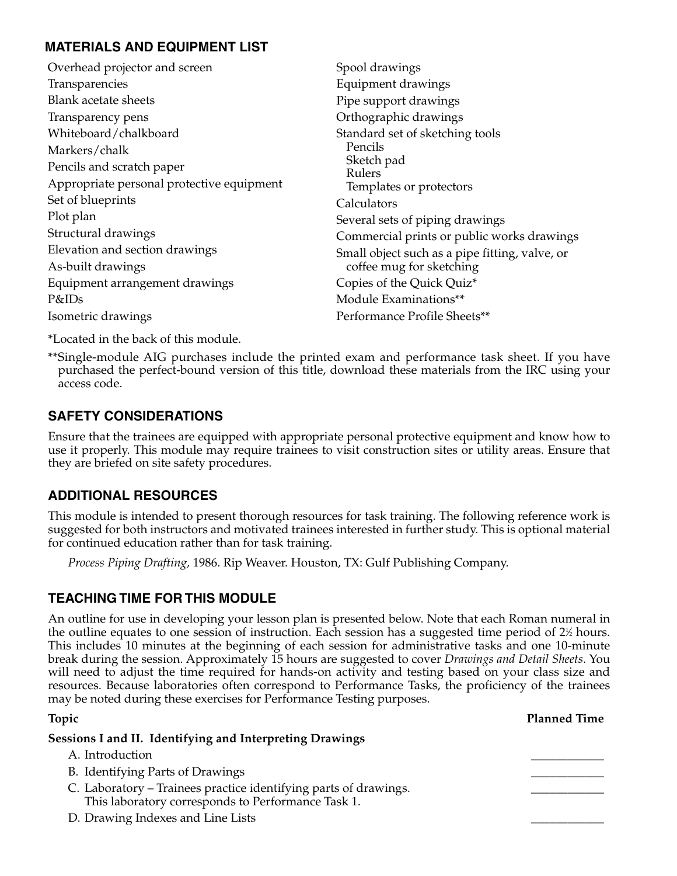### **MATERIALS AND EQUIPMENT LIST**

| Overhead projector and screen             | Spool drawings                                 |
|-------------------------------------------|------------------------------------------------|
| Transparencies                            | Equipment drawings                             |
| <b>Blank acetate sheets</b>               | Pipe support drawings                          |
| Transparency pens                         | Orthographic drawings                          |
| Whiteboard/chalkboard                     | Standard set of sketching tools                |
| Markers/chalk                             | Pencils                                        |
| Pencils and scratch paper                 | Sketch pad<br><b>Rulers</b>                    |
| Appropriate personal protective equipment | Templates or protectors                        |
| Set of blueprints                         | Calculators                                    |
| Plot plan                                 | Several sets of piping drawings                |
| Structural drawings                       | Commercial prints or public works drawings     |
| Elevation and section drawings            | Small object such as a pipe fitting, valve, or |
| As-built drawings                         | coffee mug for sketching                       |
| Equipment arrangement drawings            | Copies of the Quick Quiz*                      |
| P&IDs                                     | Module Examinations**                          |
| Isometric drawings                        | Performance Profile Sheets**                   |

\*Located in the back of this module.

\*\*Single-module AIG purchases include the printed exam and performance task sheet. If you have purchased the perfect-bound version of this title, download these materials from the IRC using your access code.

### **SAFETY CONSIDERATIONS**

Ensure that the trainees are equipped with appropriate personal protective equipment and know how to use it properly. This module may require trainees to visit construction sites or utility areas. Ensure that they are briefed on site safety procedures.

### **ADDITIONAL RESOURCES**

This module is intended to present thorough resources for task training. The following reference work is suggested for both instructors and motivated trainees interested in further study. This is optional material for continued education rather than for task training.

*Process Piping Drafting,* 1986. Rip Weaver. Houston, TX: Gulf Publishing Company.

### **TEACHING TIME FOR THIS MODULE**

An outline for use in developing your lesson plan is presented below. Note that each Roman numeral in the outline equates to one session of instruction. Each session has a suggested time period of 2½ hours. This includes 10 minutes at the beginning of each session for administrative tasks and one 10-minute break during the session. Approximately 15 hours are suggested to cover *Drawings and Detail Sheets*. You will need to adjust the time required for hands-on activity and testing based on your class size and resources. Because laboratories often correspond to Performance Tasks, the proficiency of the trainees may be noted during these exercises for Performance Testing purposes.

# **Topic Planned Time**

#### **Sessions I and II. Identifying and Interpreting Drawings**

- A. Introduction
- B. Identifying Parts of Drawings
- C. Laboratory Trainees practice identifying parts of drawings. This laboratory corresponds to Performance Task 1.
- D. Drawing Indexes and Line Lists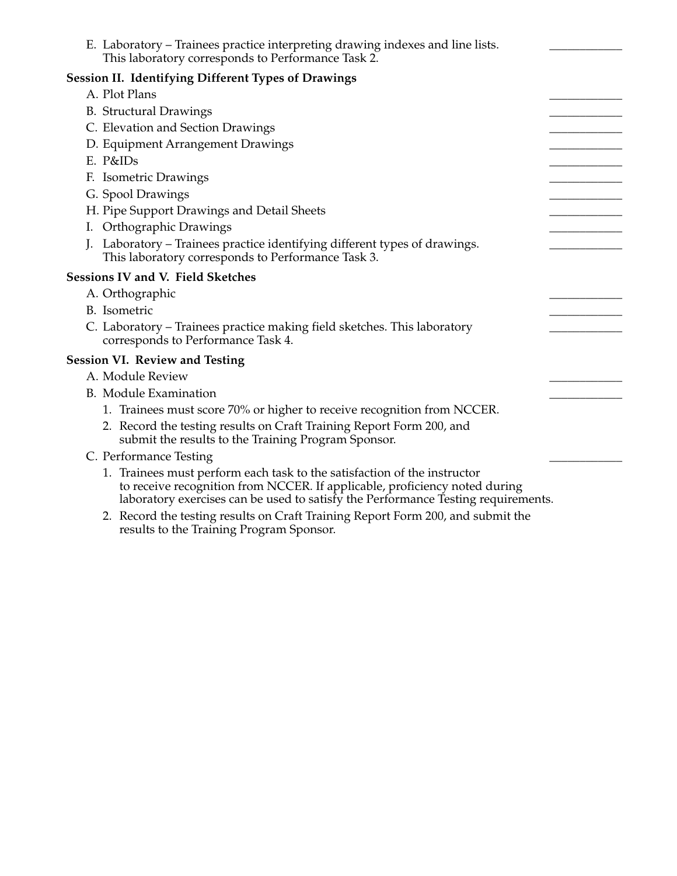| E. Laboratory – Trainees practice interpreting drawing indexes and line lists.<br>This laboratory corresponds to Performance Task 2.                                                                                                        |  |
|---------------------------------------------------------------------------------------------------------------------------------------------------------------------------------------------------------------------------------------------|--|
| <b>Session II. Identifying Different Types of Drawings</b>                                                                                                                                                                                  |  |
| A. Plot Plans                                                                                                                                                                                                                               |  |
| <b>B.</b> Structural Drawings                                                                                                                                                                                                               |  |
| C. Elevation and Section Drawings                                                                                                                                                                                                           |  |
| D. Equipment Arrangement Drawings                                                                                                                                                                                                           |  |
| $E.$ P&IDs                                                                                                                                                                                                                                  |  |
| F. Isometric Drawings                                                                                                                                                                                                                       |  |
| G. Spool Drawings                                                                                                                                                                                                                           |  |
| H. Pipe Support Drawings and Detail Sheets                                                                                                                                                                                                  |  |
| I. Orthographic Drawings                                                                                                                                                                                                                    |  |
| J. Laboratory – Trainees practice identifying different types of drawings.                                                                                                                                                                  |  |
| This laboratory corresponds to Performance Task 3.                                                                                                                                                                                          |  |
| Sessions IV and V. Field Sketches                                                                                                                                                                                                           |  |
| A. Orthographic                                                                                                                                                                                                                             |  |
| B. Isometric                                                                                                                                                                                                                                |  |
| C. Laboratory – Trainees practice making field sketches. This laboratory<br>corresponds to Performance Task 4.                                                                                                                              |  |
| <b>Session VI. Review and Testing</b>                                                                                                                                                                                                       |  |
| A. Module Review                                                                                                                                                                                                                            |  |
| <b>B.</b> Module Examination                                                                                                                                                                                                                |  |
| 1. Trainees must score 70% or higher to receive recognition from NCCER.                                                                                                                                                                     |  |
| 2. Record the testing results on Craft Training Report Form 200, and<br>submit the results to the Training Program Sponsor.                                                                                                                 |  |
| C. Performance Testing                                                                                                                                                                                                                      |  |
| 1. Trainees must perform each task to the satisfaction of the instructor<br>to receive recognition from NCCER. If applicable, proficiency noted during<br>laboratory exercises can be used to satisfy the Performance Testing requirements. |  |

2. Record the testing results on Craft Training Report Form 200, and submit the results to the Training Program Sponsor.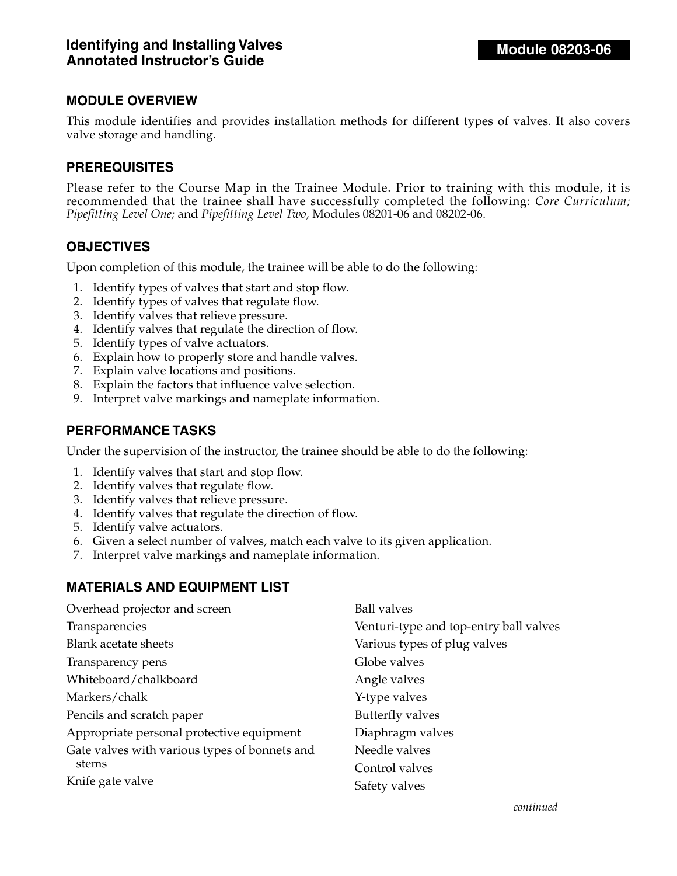This module identifies and provides installation methods for different types of valves. It also covers valve storage and handling.

### **PREREQUISITES**

Please refer to the Course Map in the Trainee Module. Prior to training with this module, it is recommended that the trainee shall have successfully completed the following: *Core Curriculum; Pipefitting Level One;* and *Pipefitting Level Two,* Modules 08201-06 and 08202-06.

### **OBJECTIVES**

Upon completion of this module, the trainee will be able to do the following:

- 1. Identify types of valves that start and stop flow.
- 2. Identify types of valves that regulate flow.
- 3. Identify valves that relieve pressure.
- 4. Identify valves that regulate the direction of flow.
- 5. Identify types of valve actuators.
- 6. Explain how to properly store and handle valves.
- 7. Explain valve locations and positions.
- 8. Explain the factors that influence valve selection.
- 9. Interpret valve markings and nameplate information.

#### **PERFORMANCE TASKS**

Under the supervision of the instructor, the trainee should be able to do the following:

- 1. Identify valves that start and stop flow.
- 2. Identify valves that regulate flow.
- 3. Identify valves that relieve pressure.
- 4. Identify valves that regulate the direction of flow.
- 5. Identify valve actuators.
- 6. Given a select number of valves, match each valve to its given application.
- 7. Interpret valve markings and nameplate information.

#### **MATERIALS AND EQUIPMENT LIST**

| Overhead projector and screen                 | <b>Ball valves</b>                     |
|-----------------------------------------------|----------------------------------------|
| Transparencies                                | Venturi-type and top-entry ball valves |
| <b>Blank acetate sheets</b>                   | Various types of plug valves           |
| Transparency pens                             | Globe valves                           |
| Whiteboard/chalkboard                         | Angle valves                           |
| Markers/chalk                                 | Y-type valves                          |
| Pencils and scratch paper                     | <b>Butterfly valves</b>                |
| Appropriate personal protective equipment     | Diaphragm valves                       |
| Gate valves with various types of bonnets and | Needle valves                          |
| stems                                         | Control valves                         |
| Knife gate valve                              | Safety valves                          |
|                                               |                                        |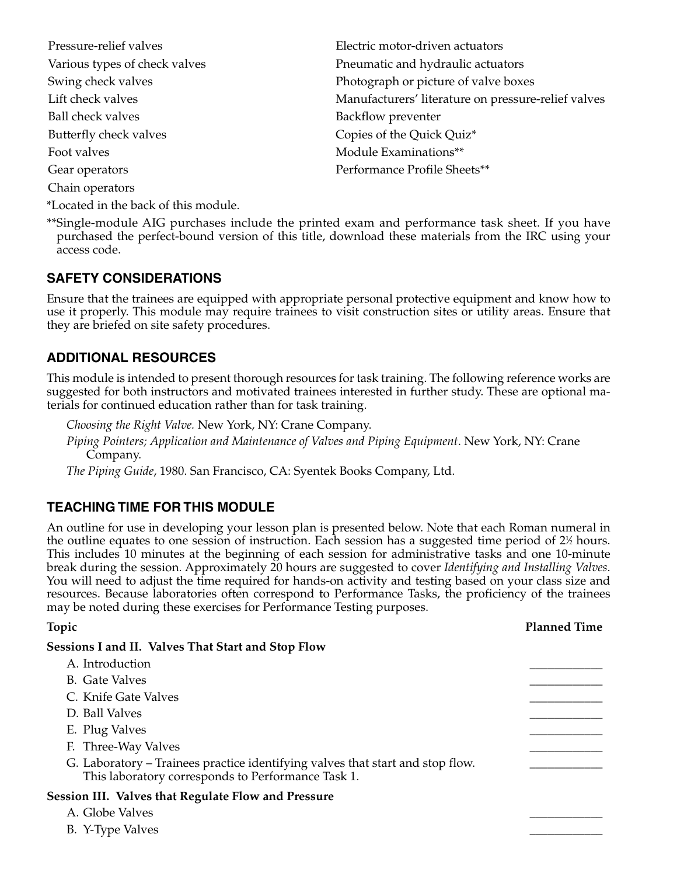| Electric motor-driven actuators                     |
|-----------------------------------------------------|
| Pneumatic and hydraulic actuators                   |
| Photograph or picture of valve boxes                |
| Manufacturers' literature on pressure-relief valves |
| Backflow preventer                                  |
| Copies of the Quick Quiz*                           |
| Module Examinations**                               |
| Performance Profile Sheets**                        |
|                                                     |
|                                                     |

\*\*Single-module AIG purchases include the printed exam and performance task sheet. If you have purchased the perfect-bound version of this title, download these materials from the IRC using your access code.

### **SAFETY CONSIDERATIONS**

\*Located in the back of this module.

Ensure that the trainees are equipped with appropriate personal protective equipment and know how to use it properly. This module may require trainees to visit construction sites or utility areas. Ensure that they are briefed on site safety procedures.

### **ADDITIONAL RESOURCES**

This module is intended to present thorough resources for task training. The following reference works are suggested for both instructors and motivated trainees interested in further study. These are optional materials for continued education rather than for task training.

*Choosing the Right Valve.* New York, NY: Crane Company.

*Piping Pointers; Application and Maintenance of Valves and Piping Equipment*. New York, NY: Crane Company.

*The Piping Guide*, 1980. San Francisco, CA: Syentek Books Company, Ltd.

### **TEACHING TIME FOR THIS MODULE**

B. Y-Type Valves

An outline for use in developing your lesson plan is presented below. Note that each Roman numeral in the outline equates to one session of instruction. Each session has a suggested time period of  $2\%$  hours. This includes 10 minutes at the beginning of each session for administrative tasks and one 10-minute break during the session. Approximately 20 hours are suggested to cover *Identifying and Installing Valves*. You will need to adjust the time required for hands-on activity and testing based on your class size and resources. Because laboratories often correspond to Performance Tasks, the proficiency of the trainees may be noted during these exercises for Performance Testing purposes.

| Topic                                                                                                                                | <b>Planned Time</b> |
|--------------------------------------------------------------------------------------------------------------------------------------|---------------------|
| <b>Sessions I and II. Valves That Start and Stop Flow</b>                                                                            |                     |
| A. Introduction                                                                                                                      |                     |
| B. Gate Valves                                                                                                                       |                     |
| C. Knife Gate Valves                                                                                                                 |                     |
| D. Ball Valves                                                                                                                       |                     |
| E. Plug Valves                                                                                                                       |                     |
| F. Three-Way Valves                                                                                                                  |                     |
| G. Laboratory – Trainees practice identifying valves that start and stop flow.<br>This laboratory corresponds to Performance Task 1. |                     |
| Session III. Valves that Regulate Flow and Pressure<br>A. Globe Valves                                                               |                     |
|                                                                                                                                      |                     |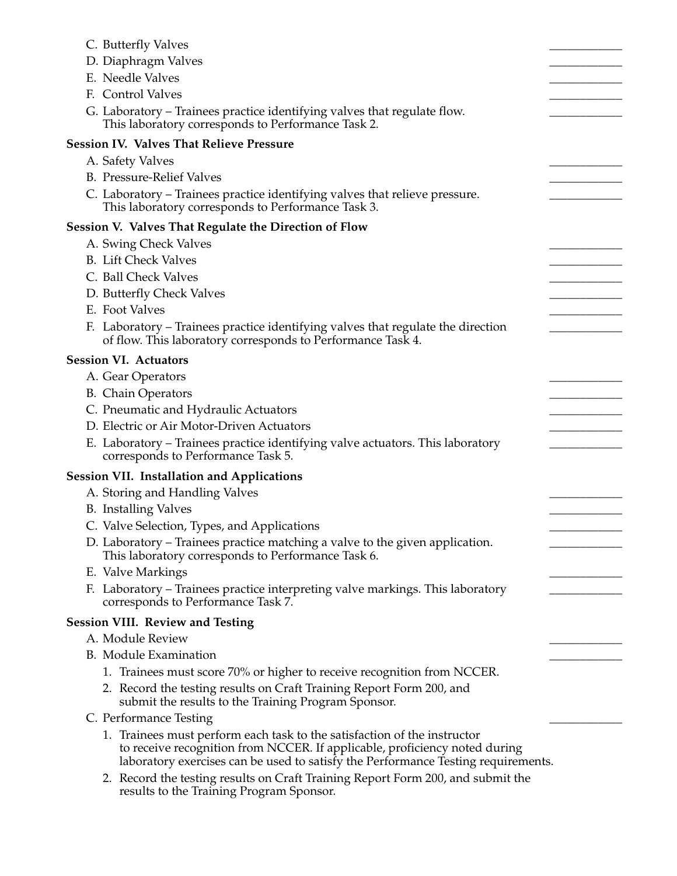| C. Butterfly Valves                                                                                                                                                                                                                         |  |
|---------------------------------------------------------------------------------------------------------------------------------------------------------------------------------------------------------------------------------------------|--|
| D. Diaphragm Valves                                                                                                                                                                                                                         |  |
| E. Needle Valves                                                                                                                                                                                                                            |  |
| F. Control Valves                                                                                                                                                                                                                           |  |
| G. Laboratory - Trainees practice identifying valves that regulate flow.<br>This laboratory corresponds to Performance Task 2.                                                                                                              |  |
| <b>Session IV. Valves That Relieve Pressure</b>                                                                                                                                                                                             |  |
| A. Safety Valves                                                                                                                                                                                                                            |  |
| <b>B.</b> Pressure-Relief Valves                                                                                                                                                                                                            |  |
| C. Laboratory - Trainees practice identifying valves that relieve pressure.<br>This laboratory corresponds to Performance Task 3.                                                                                                           |  |
| <b>Session V. Valves That Regulate the Direction of Flow</b>                                                                                                                                                                                |  |
| A. Swing Check Valves                                                                                                                                                                                                                       |  |
| <b>B.</b> Lift Check Valves                                                                                                                                                                                                                 |  |
| C. Ball Check Valves                                                                                                                                                                                                                        |  |
| D. Butterfly Check Valves                                                                                                                                                                                                                   |  |
| E. Foot Valves                                                                                                                                                                                                                              |  |
| F. Laboratory – Trainees practice identifying valves that regulate the direction<br>of flow. This laboratory corresponds to Performance Task 4.                                                                                             |  |
| <b>Session VI. Actuators</b>                                                                                                                                                                                                                |  |
| A. Gear Operators                                                                                                                                                                                                                           |  |
| <b>B.</b> Chain Operators                                                                                                                                                                                                                   |  |
| C. Pneumatic and Hydraulic Actuators                                                                                                                                                                                                        |  |
| D. Electric or Air Motor-Driven Actuators                                                                                                                                                                                                   |  |
| E. Laboratory - Trainees practice identifying valve actuators. This laboratory<br>corresponds to Performance Task 5.                                                                                                                        |  |
| <b>Session VII. Installation and Applications</b>                                                                                                                                                                                           |  |
| A. Storing and Handling Valves                                                                                                                                                                                                              |  |
| <b>B.</b> Installing Valves                                                                                                                                                                                                                 |  |
| C. Valve Selection, Types, and Applications                                                                                                                                                                                                 |  |
| D. Laboratory – Trainees practice matching a valve to the given application.<br>This laboratory corresponds to Performance Task 6.                                                                                                          |  |
| E. Valve Markings                                                                                                                                                                                                                           |  |
| F. Laboratory – Trainees practice interpreting valve markings. This laboratory<br>corresponds to Performance Task 7.                                                                                                                        |  |
| <b>Session VIII. Review and Testing</b>                                                                                                                                                                                                     |  |
| A. Module Review                                                                                                                                                                                                                            |  |
| <b>B.</b> Module Examination                                                                                                                                                                                                                |  |
| 1. Trainees must score 70% or higher to receive recognition from NCCER.                                                                                                                                                                     |  |
| 2. Record the testing results on Craft Training Report Form 200, and<br>submit the results to the Training Program Sponsor.                                                                                                                 |  |
| C. Performance Testing                                                                                                                                                                                                                      |  |
| 1. Trainees must perform each task to the satisfaction of the instructor<br>to receive recognition from NCCER. If applicable, proficiency noted during<br>laboratory exercises can be used to satisfy the Performance Testing requirements. |  |
| 2. Record the testing results on Craft Training Report Form 200, and submit the<br>results to the Training Program Sponsor.                                                                                                                 |  |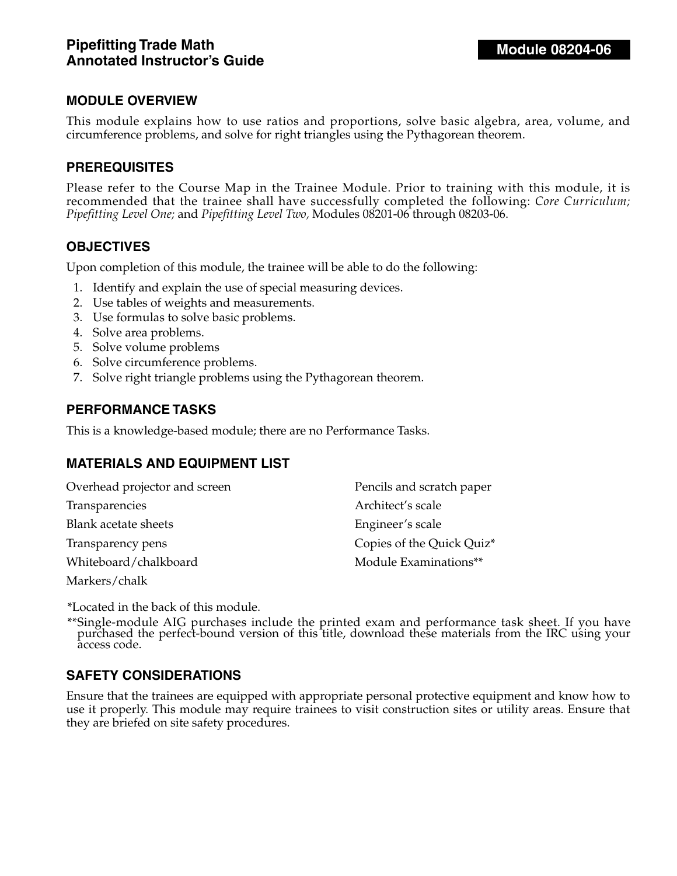This module explains how to use ratios and proportions, solve basic algebra, area, volume, and circumference problems, and solve for right triangles using the Pythagorean theorem.

### **PREREQUISITES**

Please refer to the Course Map in the Trainee Module. Prior to training with this module, it is recommended that the trainee shall have successfully completed the following: *Core Curriculum; Pipefitting Level One;* and *Pipefitting Level Two,* Modules 08201-06 through 08203-06.

### **OBJECTIVES**

Upon completion of this module, the trainee will be able to do the following:

- 1. Identify and explain the use of special measuring devices.
- 2. Use tables of weights and measurements.
- 3. Use formulas to solve basic problems.
- 4. Solve area problems.
- 5. Solve volume problems
- 6. Solve circumference problems.
- 7. Solve right triangle problems using the Pythagorean theorem.

#### **PERFORMANCE TASKS**

This is a knowledge-based module; there are no Performance Tasks.

#### **MATERIALS AND EQUIPMENT LIST**

| Overhead projector and screen | Pencils and scratch paper |
|-------------------------------|---------------------------|
| Transparencies                | Architect's scale         |
| Blank acetate sheets          | Engineer's scale          |
| Transparency pens             | Copies of the Quick Quiz* |
| Whiteboard/chalkboard         | Module Examinations**     |
| Markers/chalk                 |                           |

\*Located in the back of this module.

\*\*Single-module AIG purchases include the printed exam and performance task sheet. If you have purchased the perfect-bound version of this title, download these materials from the IRC using your access code.

#### **SAFETY CONSIDERATIONS**

Ensure that the trainees are equipped with appropriate personal protective equipment and know how to use it properly. This module may require trainees to visit construction sites or utility areas. Ensure that they are briefed on site safety procedures.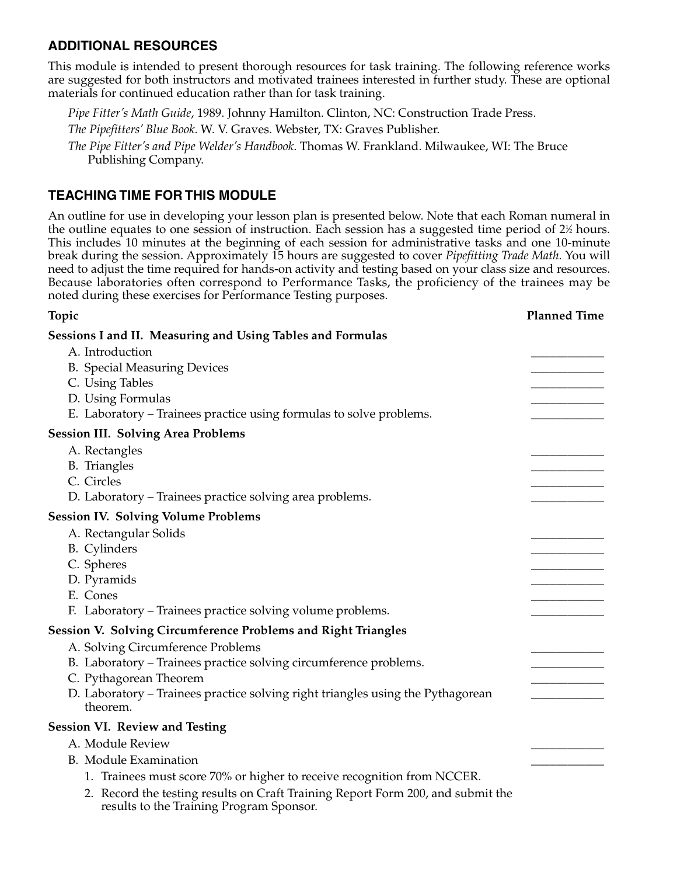### **ADDITIONAL RESOURCES**

This module is intended to present thorough resources for task training. The following reference works are suggested for both instructors and motivated trainees interested in further study. These are optional materials for continued education rather than for task training.

*Pipe Fitter's Math Guide*, 1989. Johnny Hamilton. Clinton, NC: Construction Trade Press.

*The Pipefitters' Blue Book*. W. V. Graves. Webster, TX: Graves Publisher.

*The Pipe Fitter's and Pipe Welder's Handbook*. Thomas W. Frankland. Milwaukee, WI: The Bruce Publishing Company.

### **TEACHING TIME FOR THIS MODULE**

An outline for use in developing your lesson plan is presented below. Note that each Roman numeral in the outline equates to one session of instruction. Each session has a suggested time period of 2½ hours. This includes 10 minutes at the beginning of each session for administrative tasks and one 10-minute break during the session. Approximately 15 hours are suggested to cover *Pipefitting Trade Math*. You will need to adjust the time required for hands-on activity and testing based on your class size and resources. Because laboratories often correspond to Performance Tasks, the proficiency of the trainees may be noted during these exercises for Performance Testing purposes.

### **Topic Planned Time Sessions I and II. Measuring and Using Tables and Formulas**  A. Introduction B. Special Measuring Devices C. Using Tables D. Using Formulas E. Laboratory – Trainees practice using formulas to solve problems. **Session III. Solving Area Problems** A. Rectangles B. Triangles C. Circles \_\_\_\_\_\_\_\_\_\_\_\_ D. Laboratory – Trainees practice solving area problems. **Session IV. Solving Volume Problems**  A. Rectangular Solids B. Cylinders C. Spheres \_\_\_\_\_\_\_\_\_\_\_\_ D. Pyramids E. Cones \_\_\_\_\_\_\_\_\_\_\_\_ F. Laboratory – Trainees practice solving volume problems. **Session V. Solving Circumference Problems and Right Triangles** A. Solving Circumference Problems B. Laboratory – Trainees practice solving circumference problems. C. Pythagorean Theorem D. Laboratory – Trainees practice solving right triangles using the Pythagorean theorem. **Session VI. Review and Testing** A. Module Review B. Module Examination 1. Trainees must score 70% or higher to receive recognition from NCCER. 2. Record the testing results on Craft Training Report Form 200, and submit the results to the Training Program Sponsor.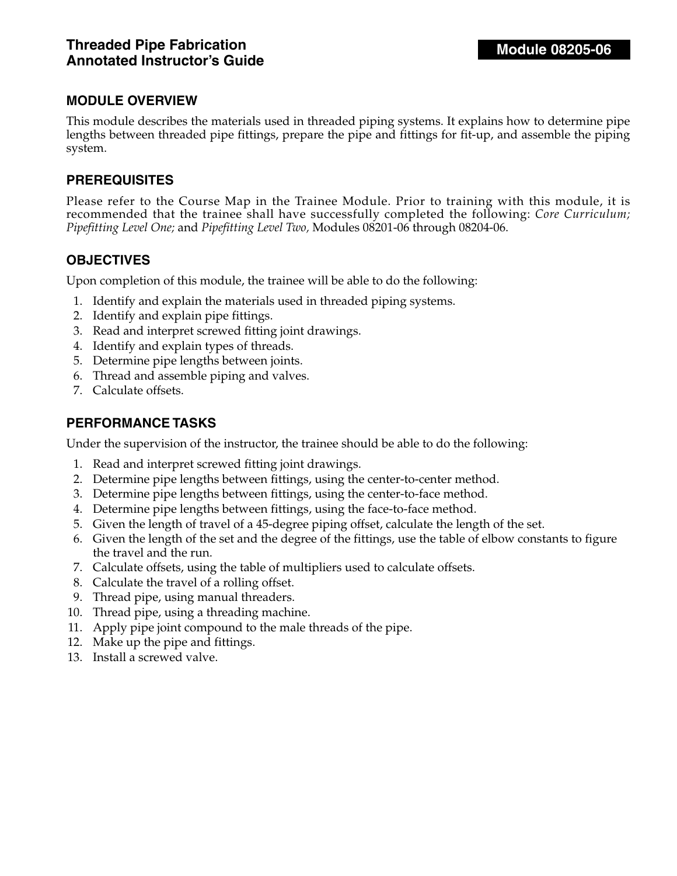This module describes the materials used in threaded piping systems. It explains how to determine pipe lengths between threaded pipe fittings, prepare the pipe and fittings for fit-up, and assemble the piping system.

### **PREREQUISITES**

Please refer to the Course Map in the Trainee Module. Prior to training with this module, it is recommended that the trainee shall have successfully completed the following: *Core Curriculum; Pipefitting Level One;* and *Pipefitting Level Two,* Modules 08201-06 through 08204-06.

### **OBJECTIVES**

Upon completion of this module, the trainee will be able to do the following:

- 1. Identify and explain the materials used in threaded piping systems.
- 2. Identify and explain pipe fittings.
- 3. Read and interpret screwed fitting joint drawings.
- 4. Identify and explain types of threads.
- 5. Determine pipe lengths between joints.
- 6. Thread and assemble piping and valves.
- 7. Calculate offsets.

### **PERFORMANCE TASKS**

Under the supervision of the instructor, the trainee should be able to do the following:

- 1. Read and interpret screwed fitting joint drawings.
- 2. Determine pipe lengths between fittings, using the center-to-center method.
- 3. Determine pipe lengths between fittings, using the center-to-face method.
- 4. Determine pipe lengths between fittings, using the face-to-face method.
- 5. Given the length of travel of a 45-degree piping offset, calculate the length of the set.
- 6. Given the length of the set and the degree of the fittings, use the table of elbow constants to figure the travel and the run.
- 7. Calculate offsets, using the table of multipliers used to calculate offsets.
- 8. Calculate the travel of a rolling offset.
- 9. Thread pipe, using manual threaders.
- 10. Thread pipe, using a threading machine.
- 11. Apply pipe joint compound to the male threads of the pipe.
- 12. Make up the pipe and fittings.
- 13. Install a screwed valve.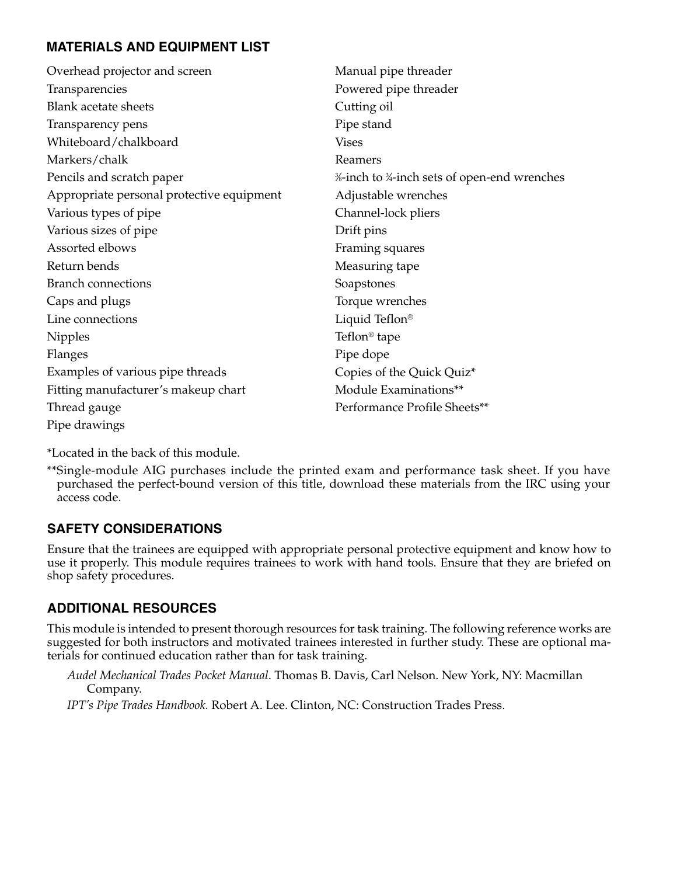# **MATERIALS AND EQUIPMENT LIST**

| Overhead projector and screen             | Manual pipe threader                       |
|-------------------------------------------|--------------------------------------------|
| Transparencies                            | Powered pipe threader                      |
| <b>Blank acetate sheets</b>               | Cutting oil                                |
| Transparency pens                         | Pipe stand                                 |
| Whiteboard/chalkboard                     | <b>Vises</b>                               |
| Markers/chalk                             | Reamers                                    |
| Pencils and scratch paper                 | %-inch to %-inch sets of open-end wrenches |
| Appropriate personal protective equipment | Adjustable wrenches                        |
| Various types of pipe                     | Channel-lock pliers                        |
| Various sizes of pipe                     | Drift pins                                 |
| Assorted elbows                           | Framing squares                            |
| Return bends                              | Measuring tape                             |
| <b>Branch connections</b>                 | Soapstones                                 |
| Caps and plugs                            | Torque wrenches                            |
| Line connections                          | Liquid Teflon®                             |
| <b>Nipples</b>                            | Teflon <sup>®</sup> tape                   |
| Flanges                                   | Pipe dope                                  |
| Examples of various pipe threads          | Copies of the Quick Quiz*                  |
| Fitting manufacturer's makeup chart       | Module Examinations**                      |
| Thread gauge                              | Performance Profile Sheets**               |
| Pipe drawings                             |                                            |
|                                           |                                            |

\*Located in the back of this module.

\*\*Single-module AIG purchases include the printed exam and performance task sheet. If you have purchased the perfect-bound version of this title, download these materials from the IRC using your access code.

# **SAFETY CONSIDERATIONS**

Ensure that the trainees are equipped with appropriate personal protective equipment and know how to use it properly. This module requires trainees to work with hand tools. Ensure that they are briefed on shop safety procedures.

# **ADDITIONAL RESOURCES**

This module is intended to present thorough resources for task training. The following reference works are suggested for both instructors and motivated trainees interested in further study. These are optional materials for continued education rather than for task training.

*Audel Mechanical Trades Pocket Manual*. Thomas B. Davis, Carl Nelson. New York, NY: Macmillan Company.

*IPT's Pipe Trades Handbook.* Robert A. Lee. Clinton, NC: Construction Trades Press.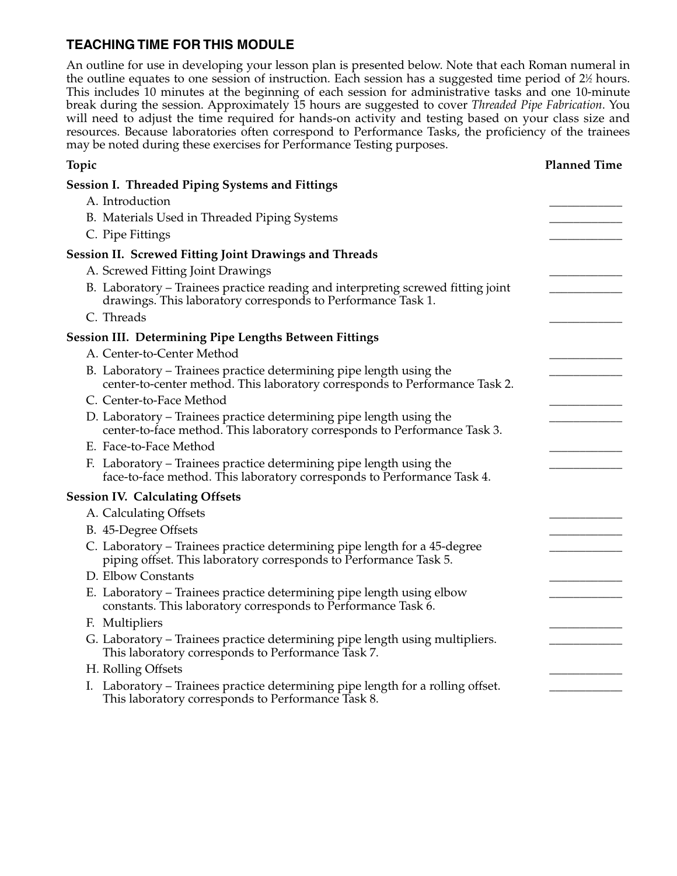### **TEACHING TIME FOR THIS MODULE**

An outline for use in developing your lesson plan is presented below. Note that each Roman numeral in the outline equates to one session of instruction. Each session has a suggested time period of 2½ hours. This includes 10 minutes at the beginning of each session for administrative tasks and one 10-minute break during the session. Approximately 15 hours are suggested to cover *Threaded Pipe Fabrication*. You will need to adjust the time required for hands-on activity and testing based on your class size and resources. Because laboratories often correspond to Performance Tasks, the proficiency of the trainees may be noted during these exercises for Performance Testing purposes.

| Topic                                                                                                                                              | <b>Planned Time</b> |
|----------------------------------------------------------------------------------------------------------------------------------------------------|---------------------|
| <b>Session I. Threaded Piping Systems and Fittings</b>                                                                                             |                     |
| A. Introduction                                                                                                                                    |                     |
| B. Materials Used in Threaded Piping Systems                                                                                                       |                     |
| C. Pipe Fittings                                                                                                                                   |                     |
| <b>Session II. Screwed Fitting Joint Drawings and Threads</b>                                                                                      |                     |
| A. Screwed Fitting Joint Drawings                                                                                                                  |                     |
| B. Laboratory – Trainees practice reading and interpreting screwed fitting joint<br>drawings. This laboratory corresponds to Performance Task 1.   |                     |
| C. Threads                                                                                                                                         |                     |
| <b>Session III. Determining Pipe Lengths Between Fittings</b>                                                                                      |                     |
| A. Center-to-Center Method                                                                                                                         |                     |
| B. Laboratory – Trainees practice determining pipe length using the<br>center-to-center method. This laboratory corresponds to Performance Task 2. |                     |
| C. Center-to-Face Method                                                                                                                           |                     |
| D. Laboratory - Trainees practice determining pipe length using the<br>center-to-face method. This laboratory corresponds to Performance Task 3.   |                     |
| E. Face-to-Face Method                                                                                                                             |                     |
| F. Laboratory – Trainees practice determining pipe length using the<br>face-to-face method. This laboratory corresponds to Performance Task 4.     |                     |
| <b>Session IV. Calculating Offsets</b>                                                                                                             |                     |
| A. Calculating Offsets                                                                                                                             |                     |
| B. 45-Degree Offsets                                                                                                                               |                     |
| C. Laboratory – Trainees practice determining pipe length for a 45-degree<br>piping offset. This laboratory corresponds to Performance Task 5.     |                     |
| D. Elbow Constants                                                                                                                                 |                     |
| E. Laboratory – Trainees practice determining pipe length using elbow<br>constants. This laboratory corresponds to Performance Task 6.             |                     |
| F. Multipliers                                                                                                                                     |                     |
| G. Laboratory – Trainees practice determining pipe length using multipliers.<br>This laboratory corresponds to Performance Task 7.                 |                     |
| H. Rolling Offsets                                                                                                                                 |                     |
| I. Laboratory - Trainees practice determining pipe length for a rolling offset.<br>This laboratory corresponds to Performance Task 8.              |                     |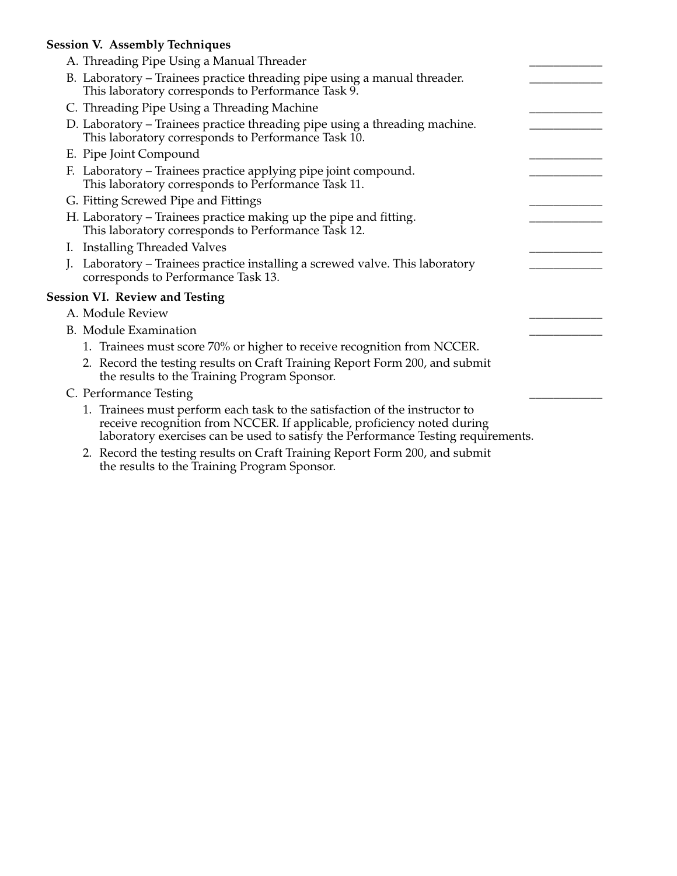### **Session V. Assembly Techniques**

| A. Threading Pipe Using a Manual Threader                                                                                                                                                                                                   |  |
|---------------------------------------------------------------------------------------------------------------------------------------------------------------------------------------------------------------------------------------------|--|
| B. Laboratory – Trainees practice threading pipe using a manual threader.<br>This laboratory corresponds to Performance Task 9.                                                                                                             |  |
| C. Threading Pipe Using a Threading Machine                                                                                                                                                                                                 |  |
| D. Laboratory – Trainees practice threading pipe using a threading machine.<br>This laboratory corresponds to Performance Task 10.                                                                                                          |  |
| E. Pipe Joint Compound                                                                                                                                                                                                                      |  |
| F. Laboratory - Trainees practice applying pipe joint compound.<br>This laboratory corresponds to Performance Task 11.                                                                                                                      |  |
| G. Fitting Screwed Pipe and Fittings                                                                                                                                                                                                        |  |
| H. Laboratory – Trainees practice making up the pipe and fitting.<br>This laboratory corresponds to Performance Task 12.                                                                                                                    |  |
| I. Installing Threaded Valves                                                                                                                                                                                                               |  |
| Laboratory – Trainees practice installing a screwed valve. This laboratory<br>corresponds to Performance Task 13.                                                                                                                           |  |
| <b>Session VI. Review and Testing</b>                                                                                                                                                                                                       |  |
| A. Module Review                                                                                                                                                                                                                            |  |
| <b>B.</b> Module Examination                                                                                                                                                                                                                |  |
| 1. Trainees must score 70% or higher to receive recognition from NCCER.                                                                                                                                                                     |  |
| 2. Record the testing results on Craft Training Report Form 200, and submit<br>the results to the Training Program Sponsor.                                                                                                                 |  |
| C. Performance Testing                                                                                                                                                                                                                      |  |
| 1. Trainees must perform each task to the satisfaction of the instructor to<br>receive recognition from NCCER. If applicable, proficiency noted during<br>laboratory exercises can be used to satisfy the Performance Testing requirements. |  |
|                                                                                                                                                                                                                                             |  |

2. Record the testing results on Craft Training Report Form 200, and submit the results to the Training Program Sponsor.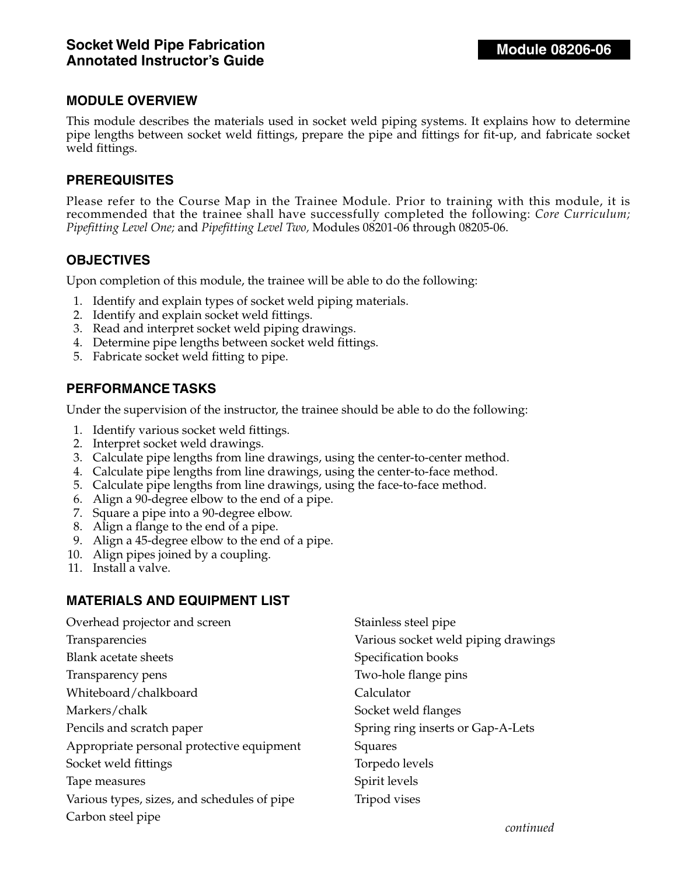This module describes the materials used in socket weld piping systems. It explains how to determine pipe lengths between socket weld fittings, prepare the pipe and fittings for fit-up, and fabricate socket weld fittings.

#### **PREREQUISITES**

Please refer to the Course Map in the Trainee Module. Prior to training with this module, it is recommended that the trainee shall have successfully completed the following: *Core Curriculum; Pipefitting Level One;* and *Pipefitting Level Two,* Modules 08201-06 through 08205-06.

### **OBJECTIVES**

Upon completion of this module, the trainee will be able to do the following:

- 1. Identify and explain types of socket weld piping materials.
- 2. Identify and explain socket weld fittings.
- 3. Read and interpret socket weld piping drawings.
- 4. Determine pipe lengths between socket weld fittings.
- 5. Fabricate socket weld fitting to pipe.

#### **PERFORMANCE TASKS**

Under the supervision of the instructor, the trainee should be able to do the following:

- 1. Identify various socket weld fittings.
- 2. Interpret socket weld drawings.
- 3. Calculate pipe lengths from line drawings, using the center-to-center method.
- 4. Calculate pipe lengths from line drawings, using the center-to-face method.
- 5. Calculate pipe lengths from line drawings, using the face-to-face method.
- 6. Align a 90-degree elbow to the end of a pipe.
- 7. Square a pipe into a 90-degree elbow.
- 8. Align a flange to the end of a pipe.
- 9. Align a 45-degree elbow to the end of a pipe.
- 10. Align pipes joined by a coupling.
- 11. Install a valve.

### **MATERIALS AND EQUIPMENT LIST**

| Overhead projector and screen               | Stainless steel pipe                |
|---------------------------------------------|-------------------------------------|
| Transparencies                              | Various socket weld piping drawings |
| Blank acetate sheets                        | Specification books                 |
| Transparency pens                           | Two-hole flange pins                |
| Whiteboard/chalkboard                       | Calculator                          |
| Markers/chalk                               | Socket weld flanges                 |
| Pencils and scratch paper                   | Spring ring inserts or Gap-A-Lets   |
| Appropriate personal protective equipment   | Squares                             |
| Socket weld fittings                        | Torpedo levels                      |
| Tape measures                               | Spirit levels                       |
| Various types, sizes, and schedules of pipe | Tripod vises                        |
| Carbon steel pipe                           |                                     |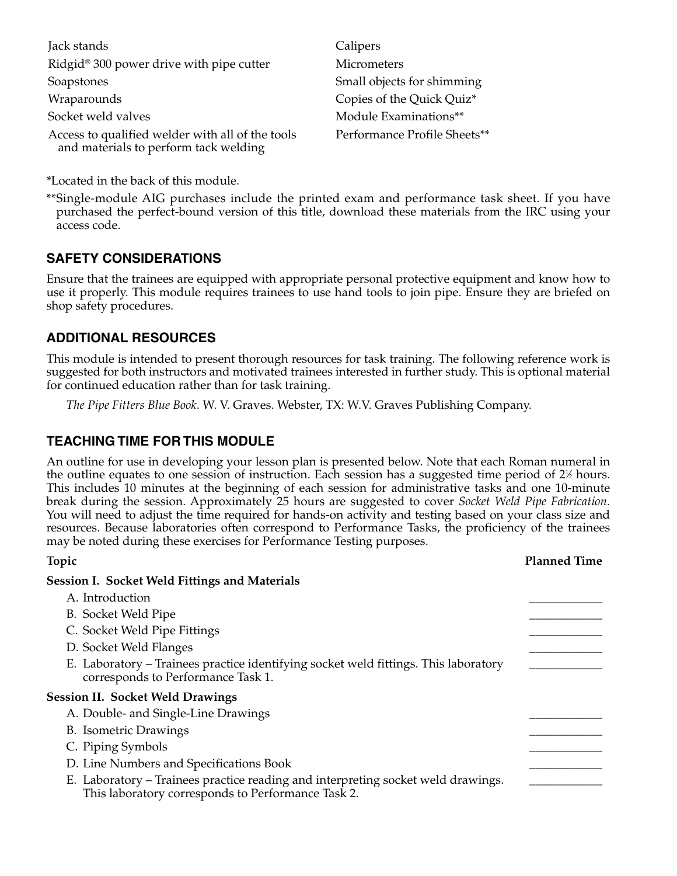| Jack stands                                                                               | Calipers                     |
|-------------------------------------------------------------------------------------------|------------------------------|
| Ridgid <sup>®</sup> 300 power drive with pipe cutter                                      | Micrometers                  |
| Soapstones                                                                                | Small objects for shimming   |
| Wraparounds                                                                               | Copies of the Quick Quiz*    |
| Socket weld valves                                                                        | Module Examinations**        |
| Access to qualified welder with all of the tools<br>and materials to perform tack welding | Performance Profile Sheets** |

\*Located in the back of this module.

\*\*Single-module AIG purchases include the printed exam and performance task sheet. If you have purchased the perfect-bound version of this title, download these materials from the IRC using your access code.

### **SAFETY CONSIDERATIONS**

Ensure that the trainees are equipped with appropriate personal protective equipment and know how to use it properly. This module requires trainees to use hand tools to join pipe. Ensure they are briefed on shop safety procedures.

### **ADDITIONAL RESOURCES**

This module is intended to present thorough resources for task training. The following reference work is suggested for both instructors and motivated trainees interested in further study. This is optional material for continued education rather than for task training.

*The Pipe Fitters Blue Book*. W. V. Graves. Webster, TX: W.V. Graves Publishing Company.

### **TEACHING TIME FOR THIS MODULE**

An outline for use in developing your lesson plan is presented below. Note that each Roman numeral in the outline equates to one session of instruction. Each session has a suggested time period of 2½ hours. This includes 10 minutes at the beginning of each session for administrative tasks and one 10-minute break during the session. Approximately 25 hours are suggested to cover *Socket Weld Pipe Fabrication*. You will need to adjust the time required for hands-on activity and testing based on your class size and resources. Because laboratories often correspond to Performance Tasks, the proficiency of the trainees may be noted during these exercises for Performance Testing purposes.

| Topic                                                                                                                                  | <b>Planned Time</b> |
|----------------------------------------------------------------------------------------------------------------------------------------|---------------------|
| <b>Session I. Socket Weld Fittings and Materials</b>                                                                                   |                     |
| A. Introduction                                                                                                                        |                     |
| B. Socket Weld Pipe                                                                                                                    |                     |
| C. Socket Weld Pipe Fittings                                                                                                           |                     |
| D. Socket Weld Flanges                                                                                                                 |                     |
| E. Laboratory – Trainees practice identifying socket weld fittings. This laboratory<br>corresponds to Performance Task 1.              |                     |
| <b>Session II. Socket Weld Drawings</b>                                                                                                |                     |
| A. Double- and Single-Line Drawings                                                                                                    |                     |
| <b>B.</b> Isometric Drawings                                                                                                           |                     |
| C. Piping Symbols                                                                                                                      |                     |
| D. Line Numbers and Specifications Book                                                                                                |                     |
| E. Laboratory – Trainees practice reading and interpreting socket weld drawings.<br>This laboratory corresponds to Performance Task 2. |                     |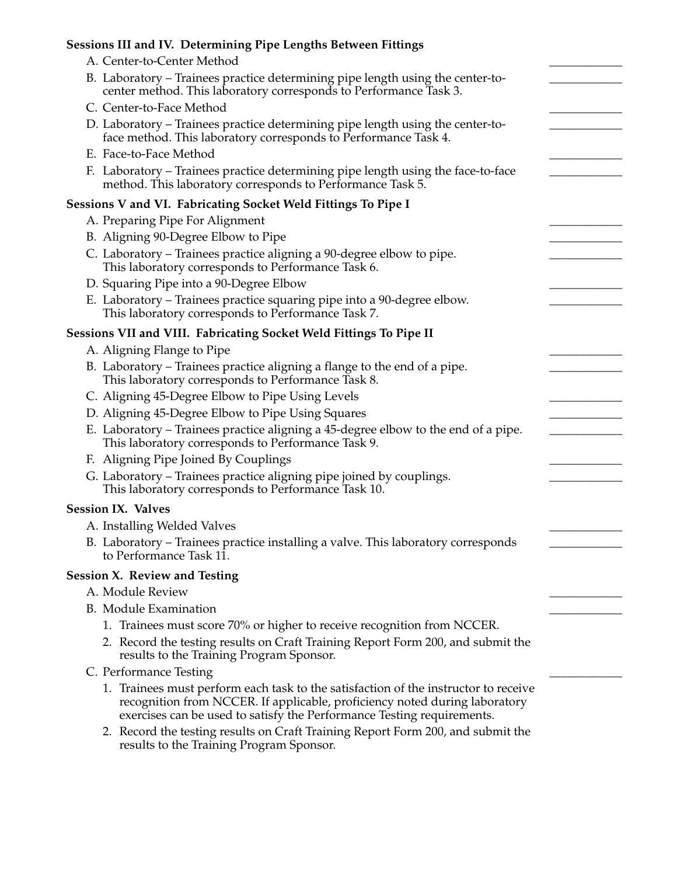# **Sessions III and IV. Determining Pipe Lengths Between Fittings**

| A. Center-to-Center Method                                                                                                                                                                                                                  |  |
|---------------------------------------------------------------------------------------------------------------------------------------------------------------------------------------------------------------------------------------------|--|
| B. Laboratory - Trainees practice determining pipe length using the center-to-                                                                                                                                                              |  |
| center method. This laboratory corresponds to Performance Task 3.                                                                                                                                                                           |  |
| C. Center-to-Face Method                                                                                                                                                                                                                    |  |
| D. Laboratory – Trainees practice determining pipe length using the center-to-                                                                                                                                                              |  |
| face method. This laboratory corresponds to Performance Task 4.<br>E. Face-to-Face Method                                                                                                                                                   |  |
| F. Laboratory – Trainees practice determining pipe length using the face-to-face                                                                                                                                                            |  |
| method. This laboratory corresponds to Performance Task 5.                                                                                                                                                                                  |  |
| Sessions V and VI. Fabricating Socket Weld Fittings To Pipe I                                                                                                                                                                               |  |
| A. Preparing Pipe For Alignment                                                                                                                                                                                                             |  |
| B. Aligning 90-Degree Elbow to Pipe                                                                                                                                                                                                         |  |
| C. Laboratory – Trainees practice aligning a 90-degree elbow to pipe.<br>This laboratory corresponds to Performance Task 6.                                                                                                                 |  |
| D. Squaring Pipe into a 90-Degree Elbow                                                                                                                                                                                                     |  |
| E. Laboratory - Trainees practice squaring pipe into a 90-degree elbow.<br>This laboratory corresponds to Performance Task 7.                                                                                                               |  |
| Sessions VII and VIII. Fabricating Socket Weld Fittings To Pipe II                                                                                                                                                                          |  |
| A. Aligning Flange to Pipe                                                                                                                                                                                                                  |  |
| B. Laboratory - Trainees practice aligning a flange to the end of a pipe.<br>This laboratory corresponds to Performance Task 8.                                                                                                             |  |
| C. Aligning 45-Degree Elbow to Pipe Using Levels                                                                                                                                                                                            |  |
| D. Aligning 45-Degree Elbow to Pipe Using Squares                                                                                                                                                                                           |  |
| E. Laboratory – Trainees practice aligning a 45-degree elbow to the end of a pipe.<br>This laboratory corresponds to Performance Task 9.                                                                                                    |  |
| F. Aligning Pipe Joined By Couplings                                                                                                                                                                                                        |  |
| G. Laboratory - Trainees practice aligning pipe joined by couplings.<br>This laboratory corresponds to Performance Task 10.                                                                                                                 |  |
| <b>Session IX. Valves</b>                                                                                                                                                                                                                   |  |
| A. Installing Welded Valves                                                                                                                                                                                                                 |  |
| B. Laboratory - Trainees practice installing a valve. This laboratory corresponds<br>to Performance Task 11.                                                                                                                                |  |
| <b>Session X. Review and Testing</b>                                                                                                                                                                                                        |  |
| A. Module Review                                                                                                                                                                                                                            |  |
| <b>B.</b> Module Examination                                                                                                                                                                                                                |  |
| 1. Trainees must score 70% or higher to receive recognition from NCCER.                                                                                                                                                                     |  |
| 2. Record the testing results on Craft Training Report Form 200, and submit the                                                                                                                                                             |  |
| results to the Training Program Sponsor.                                                                                                                                                                                                    |  |
| C. Performance Testing                                                                                                                                                                                                                      |  |
| 1. Trainees must perform each task to the satisfaction of the instructor to receive<br>recognition from NCCER. If applicable, proficiency noted during laboratory<br>exercises can be used to satisfy the Performance Testing requirements. |  |
| 2. Record the testing results on Craft Training Report Form 200, and submit the                                                                                                                                                             |  |

results to the Training Program Sponsor.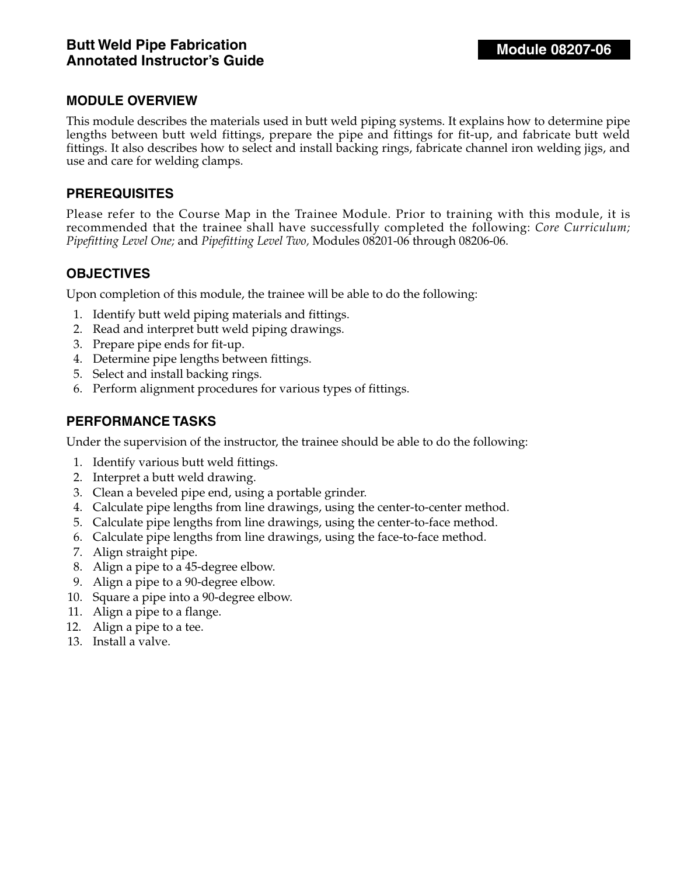This module describes the materials used in butt weld piping systems. It explains how to determine pipe lengths between butt weld fittings, prepare the pipe and fittings for fit-up, and fabricate butt weld fittings. It also describes how to select and install backing rings, fabricate channel iron welding jigs, and use and care for welding clamps.

#### **PREREQUISITES**

Please refer to the Course Map in the Trainee Module. Prior to training with this module, it is recommended that the trainee shall have successfully completed the following: *Core Curriculum; Pipefitting Level One;* and *Pipefitting Level Two,* Modules 08201-06 through 08206-06.

### **OBJECTIVES**

Upon completion of this module, the trainee will be able to do the following:

- 1. Identify butt weld piping materials and fittings.
- 2. Read and interpret butt weld piping drawings.
- 3. Prepare pipe ends for fit-up.
- 4. Determine pipe lengths between fittings.
- 5. Select and install backing rings.
- 6. Perform alignment procedures for various types of fittings.

### **PERFORMANCE TASKS**

Under the supervision of the instructor, the trainee should be able to do the following:

- 1. Identify various butt weld fittings.
- 2. Interpret a butt weld drawing.
- 3. Clean a beveled pipe end, using a portable grinder.
- 4. Calculate pipe lengths from line drawings, using the center-to-center method.
- 5. Calculate pipe lengths from line drawings, using the center-to-face method.
- 6. Calculate pipe lengths from line drawings, using the face-to-face method.
- 7. Align straight pipe.
- 8. Align a pipe to a 45-degree elbow.
- 9. Align a pipe to a 90-degree elbow.
- 10. Square a pipe into a 90-degree elbow.
- 11. Align a pipe to a flange.
- 12. Align a pipe to a tee.
- 13. Install a valve.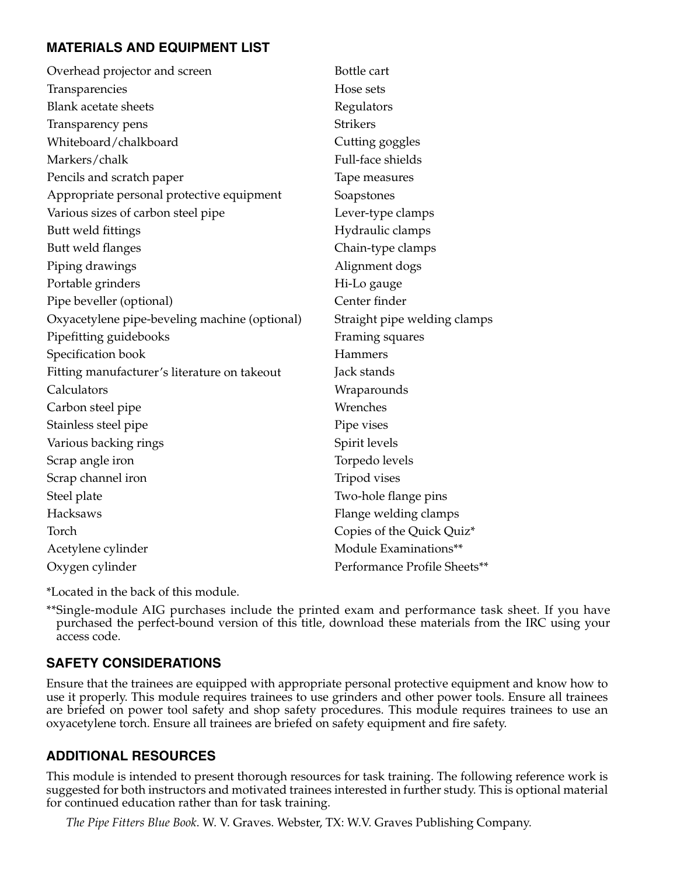# **MATERIALS AND EQUIPMENT LIST**

| Overhead projector and screen                 | Bottle cart                  |
|-----------------------------------------------|------------------------------|
| Transparencies                                | Hose sets                    |
| <b>Blank acetate sheets</b>                   | Regulators                   |
| Transparency pens                             | <b>Strikers</b>              |
| Whiteboard/chalkboard                         | Cutting goggles              |
| Markers/chalk                                 | Full-face shields            |
| Pencils and scratch paper                     | Tape measures                |
| Appropriate personal protective equipment     | Soapstones                   |
| Various sizes of carbon steel pipe            | Lever-type clamps            |
| Butt weld fittings                            | Hydraulic clamps             |
| Butt weld flanges                             | Chain-type clamps            |
| Piping drawings                               | Alignment dogs               |
| Portable grinders                             | Hi-Lo gauge                  |
| Pipe beveller (optional)                      | Center finder                |
| Oxyacetylene pipe-beveling machine (optional) | Straight pipe welding clamps |
| Pipefitting guidebooks                        | Framing squares              |
| Specification book                            | Hammers                      |
| Fitting manufacturer's literature on takeout  | Jack stands                  |
| Calculators                                   | Wraparounds                  |
| Carbon steel pipe                             | Wrenches                     |
| Stainless steel pipe                          | Pipe vises                   |
| Various backing rings                         | Spirit levels                |
| Scrap angle iron                              | Torpedo levels               |
| Scrap channel iron                            | Tripod vises                 |
| Steel plate                                   | Two-hole flange pins         |
| Hacksaws                                      | Flange welding clamps        |
| Torch                                         | Copies of the Quick Quiz*    |
| Acetylene cylinder                            | Module Examinations**        |
| Oxygen cylinder                               | Performance Profile Sheets** |

\*Located in the back of this module.

\*\*Single-module AIG purchases include the printed exam and performance task sheet. If you have purchased the perfect-bound version of this title, download these materials from the IRC using your access code.

# **SAFETY CONSIDERATIONS**

Ensure that the trainees are equipped with appropriate personal protective equipment and know how to use it properly. This module requires trainees to use grinders and other power tools. Ensure all trainees are briefed on power tool safety and shop safety procedures. This module requires trainees to use an oxyacetylene torch. Ensure all trainees are briefed on safety equipment and fire safety.

### **ADDITIONAL RESOURCES**

This module is intended to present thorough resources for task training. The following reference work is suggested for both instructors and motivated trainees interested in further study. This is optional material for continued education rather than for task training.

*The Pipe Fitters Blue Book*. W. V. Graves. Webster, TX: W.V. Graves Publishing Company.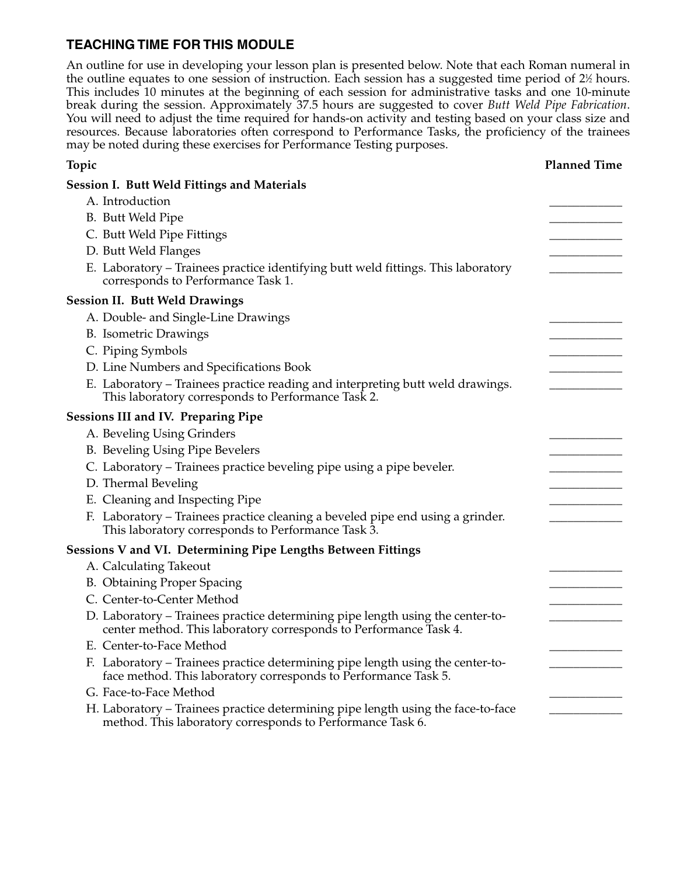### **TEACHING TIME FOR THIS MODULE**

An outline for use in developing your lesson plan is presented below. Note that each Roman numeral in the outline equates to one session of instruction. Each session has a suggested time period of 2½ hours. This includes 10 minutes at the beginning of each session for administrative tasks and one 10-minute break during the session. Approximately 37.5 hours are suggested to cover *Butt Weld Pipe Fabrication*. You will need to adjust the time required for hands-on activity and testing based on your class size and resources. Because laboratories often correspond to Performance Tasks, the proficiency of the trainees may be noted during these exercises for Performance Testing purposes.

| Topic                                                                                                                                               | <b>Planned Time</b> |
|-----------------------------------------------------------------------------------------------------------------------------------------------------|---------------------|
| <b>Session I. Butt Weld Fittings and Materials</b>                                                                                                  |                     |
| A. Introduction                                                                                                                                     |                     |
| B. Butt Weld Pipe                                                                                                                                   |                     |
| C. Butt Weld Pipe Fittings                                                                                                                          |                     |
| D. Butt Weld Flanges                                                                                                                                |                     |
| E. Laboratory - Trainees practice identifying butt weld fittings. This laboratory<br>corresponds to Performance Task 1.                             |                     |
| <b>Session II. Butt Weld Drawings</b>                                                                                                               |                     |
| A. Double- and Single-Line Drawings                                                                                                                 |                     |
| <b>B.</b> Isometric Drawings                                                                                                                        |                     |
| C. Piping Symbols                                                                                                                                   |                     |
| D. Line Numbers and Specifications Book                                                                                                             |                     |
| E. Laboratory - Trainees practice reading and interpreting butt weld drawings.<br>This laboratory corresponds to Performance Task 2.                |                     |
| <b>Sessions III and IV. Preparing Pipe</b>                                                                                                          |                     |
| A. Beveling Using Grinders                                                                                                                          |                     |
| B. Beveling Using Pipe Bevelers                                                                                                                     |                     |
| C. Laboratory - Trainees practice beveling pipe using a pipe beveler.                                                                               |                     |
| D. Thermal Beveling                                                                                                                                 |                     |
| E. Cleaning and Inspecting Pipe                                                                                                                     |                     |
| F. Laboratory – Trainees practice cleaning a beveled pipe end using a grinder.<br>This laboratory corresponds to Performance Task 3.                |                     |
| Sessions V and VI. Determining Pipe Lengths Between Fittings                                                                                        |                     |
| A. Calculating Takeout                                                                                                                              |                     |
| B. Obtaining Proper Spacing                                                                                                                         |                     |
| C. Center-to-Center Method                                                                                                                          |                     |
| D. Laboratory - Trainees practice determining pipe length using the center-to-<br>center method. This laboratory corresponds to Performance Task 4. |                     |
| E. Center-to-Face Method                                                                                                                            |                     |
| F. Laboratory – Trainees practice determining pipe length using the center-to-<br>face method. This laboratory corresponds to Performance Task 5.   |                     |
| G. Face-to-Face Method                                                                                                                              |                     |
| H. Laboratory – Trainees practice determining pipe length using the face-to-face<br>method. This laboratory corresponds to Performance Task 6.      |                     |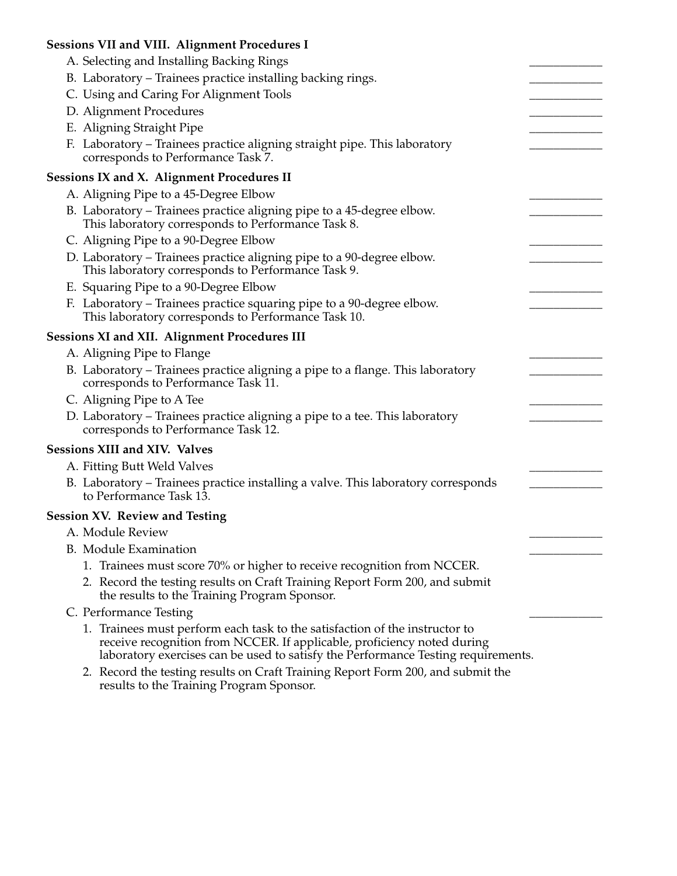| <b>Sessions VII and VIII. Alignment Procedures I</b>                                                                                                                                                                                        |  |
|---------------------------------------------------------------------------------------------------------------------------------------------------------------------------------------------------------------------------------------------|--|
| A. Selecting and Installing Backing Rings                                                                                                                                                                                                   |  |
| B. Laboratory – Trainees practice installing backing rings.                                                                                                                                                                                 |  |
| C. Using and Caring For Alignment Tools                                                                                                                                                                                                     |  |
| D. Alignment Procedures                                                                                                                                                                                                                     |  |
| E. Aligning Straight Pipe                                                                                                                                                                                                                   |  |
| F. Laboratory – Trainees practice aligning straight pipe. This laboratory<br>corresponds to Performance Task 7.                                                                                                                             |  |
| Sessions IX and X. Alignment Procedures II                                                                                                                                                                                                  |  |
| A. Aligning Pipe to a 45-Degree Elbow                                                                                                                                                                                                       |  |
| B. Laboratory - Trainees practice aligning pipe to a 45-degree elbow.<br>This laboratory corresponds to Performance Task 8.                                                                                                                 |  |
| C. Aligning Pipe to a 90-Degree Elbow                                                                                                                                                                                                       |  |
| D. Laboratory – Trainees practice aligning pipe to a 90-degree elbow.<br>This laboratory corresponds to Performance Task 9.                                                                                                                 |  |
| E. Squaring Pipe to a 90-Degree Elbow                                                                                                                                                                                                       |  |
| F. Laboratory - Trainees practice squaring pipe to a 90-degree elbow.<br>This laboratory corresponds to Performance Task 10.                                                                                                                |  |
| <b>Sessions XI and XII. Alignment Procedures III</b>                                                                                                                                                                                        |  |
| A. Aligning Pipe to Flange                                                                                                                                                                                                                  |  |
| B. Laboratory – Trainees practice aligning a pipe to a flange. This laboratory<br>corresponds to Performance Task 11.                                                                                                                       |  |
| C. Aligning Pipe to A Tee                                                                                                                                                                                                                   |  |
| D. Laboratory – Trainees practice aligning a pipe to a tee. This laboratory<br>corresponds to Performance Task 12.                                                                                                                          |  |
| <b>Sessions XIII and XIV. Valves</b>                                                                                                                                                                                                        |  |
| A. Fitting Butt Weld Valves                                                                                                                                                                                                                 |  |
| B. Laboratory – Trainees practice installing a valve. This laboratory corresponds<br>to Performance Task 13.                                                                                                                                |  |
| <b>Session XV. Review and Testing</b>                                                                                                                                                                                                       |  |
| A. Module Review                                                                                                                                                                                                                            |  |
| <b>B.</b> Module Examination                                                                                                                                                                                                                |  |
| 1. Trainees must score 70% or higher to receive recognition from NCCER.                                                                                                                                                                     |  |
| 2. Record the testing results on Craft Training Report Form 200, and submit<br>the results to the Training Program Sponsor.                                                                                                                 |  |
| C. Performance Testing                                                                                                                                                                                                                      |  |
| 1. Trainees must perform each task to the satisfaction of the instructor to<br>receive recognition from NCCER. If applicable, proficiency noted during<br>laboratory exercises can be used to satisfy the Performance Testing requirements. |  |

2. Record the testing results on Craft Training Report Form 200, and submit the results to the Training Program Sponsor.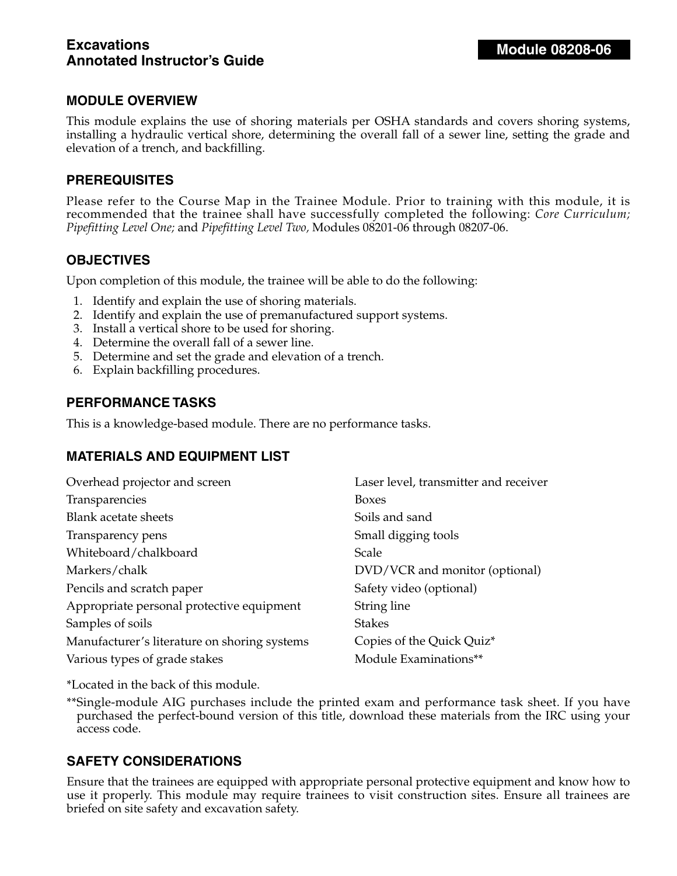### **Excavations Annotated Instructor's Guide**

### **MODULE OVERVIEW**

This module explains the use of shoring materials per OSHA standards and covers shoring systems, installing a hydraulic vertical shore, determining the overall fall of a sewer line, setting the grade and elevation of a trench, and backfilling.

### **PREREQUISITES**

Please refer to the Course Map in the Trainee Module. Prior to training with this module, it is recommended that the trainee shall have successfully completed the following: *Core Curriculum; Pipefitting Level One;* and *Pipefitting Level Two,* Modules 08201-06 through 08207-06.

### **OBJECTIVES**

Upon completion of this module, the trainee will be able to do the following:

- 1. Identify and explain the use of shoring materials.
- 2. Identify and explain the use of premanufactured support systems.
- 3. Install a vertical shore to be used for shoring.
- 4. Determine the overall fall of a sewer line.
- 5. Determine and set the grade and elevation of a trench.
- 6. Explain backfilling procedures.

### **PERFORMANCE TASKS**

This is a knowledge-based module. There are no performance tasks.

### **MATERIALS AND EQUIPMENT LIST**

| Overhead projector and screen                | Laser level, transmitter and receiver |
|----------------------------------------------|---------------------------------------|
| Transparencies                               | <b>Boxes</b>                          |
| <b>Blank acetate sheets</b>                  | Soils and sand                        |
| Transparency pens                            | Small digging tools                   |
| Whiteboard/chalkboard                        | Scale                                 |
| Markers/chalk                                | DVD/VCR and monitor (optional)        |
| Pencils and scratch paper                    | Safety video (optional)               |
| Appropriate personal protective equipment    | String line                           |
| Samples of soils                             | <b>Stakes</b>                         |
| Manufacturer's literature on shoring systems | Copies of the Quick Quiz*             |
| Various types of grade stakes                | Module Examinations**                 |

\*Located in the back of this module.

\*\*Single-module AIG purchases include the printed exam and performance task sheet. If you have purchased the perfect-bound version of this title, download these materials from the IRC using your access code.

### **SAFETY CONSIDERATIONS**

Ensure that the trainees are equipped with appropriate personal protective equipment and know how to use it properly. This module may require trainees to visit construction sites. Ensure all trainees are briefed on site safety and excavation safety.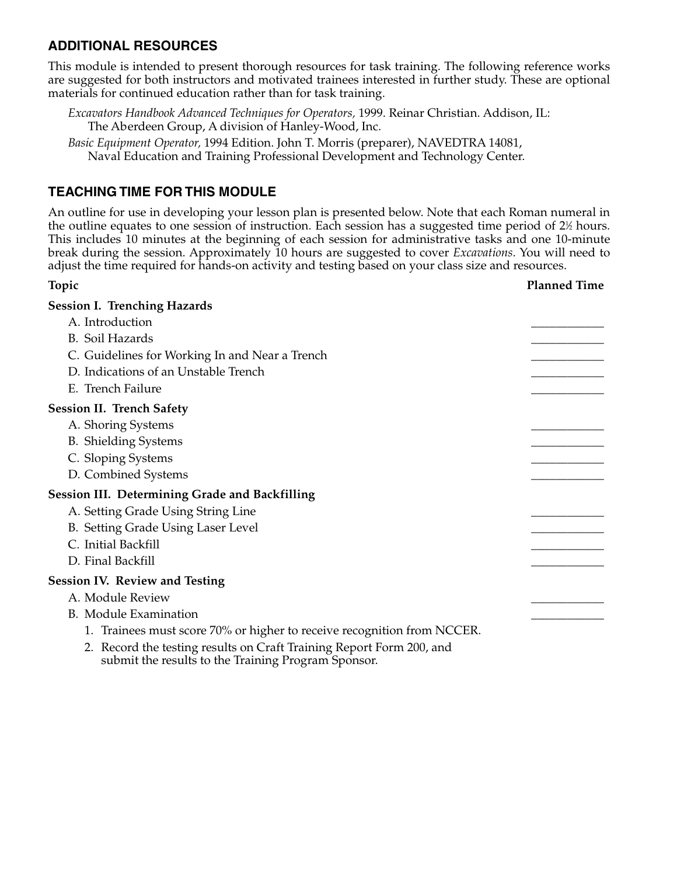### **ADDITIONAL RESOURCES**

This module is intended to present thorough resources for task training. The following reference works are suggested for both instructors and motivated trainees interested in further study. These are optional materials for continued education rather than for task training.

*Excavators Handbook Advanced Techniques for Operators,* 1999. Reinar Christian. Addison, IL: The Aberdeen Group, A division of Hanley-Wood, Inc.

*Basic Equipment Operator,* 1994 Edition. John T. Morris (preparer), NAVEDTRA 14081, Naval Education and Training Professional Development and Technology Center.

### **TEACHING TIME FOR THIS MODULE**

An outline for use in developing your lesson plan is presented below. Note that each Roman numeral in the outline equates to one session of instruction. Each session has a suggested time period of 2½ hours. This includes 10 minutes at the beginning of each session for administrative tasks and one 10-minute break during the session. Approximately 10 hours are suggested to cover *Excavations*. You will need to adjust the time required for hands-on activity and testing based on your class size and resources.

**Topic Planned Time**

| <b>Session I. Trenching Hazards</b>                                                                                         |  |
|-----------------------------------------------------------------------------------------------------------------------------|--|
| A. Introduction                                                                                                             |  |
| <b>B.</b> Soil Hazards                                                                                                      |  |
| C. Guidelines for Working In and Near a Trench                                                                              |  |
| D. Indications of an Unstable Trench                                                                                        |  |
| E. Trench Failure                                                                                                           |  |
| <b>Session II. Trench Safety</b>                                                                                            |  |
| A. Shoring Systems                                                                                                          |  |
| <b>B.</b> Shielding Systems                                                                                                 |  |
| C. Sloping Systems                                                                                                          |  |
| D. Combined Systems                                                                                                         |  |
| <b>Session III. Determining Grade and Backfilling</b>                                                                       |  |
| A. Setting Grade Using String Line                                                                                          |  |
| B. Setting Grade Using Laser Level                                                                                          |  |
| C. Initial Backfill                                                                                                         |  |
| D. Final Backfill                                                                                                           |  |
| <b>Session IV. Review and Testing</b>                                                                                       |  |
| A. Module Review                                                                                                            |  |
| <b>B.</b> Module Examination                                                                                                |  |
| 1. Trainees must score 70% or higher to receive recognition from NCCER.                                                     |  |
| 2. Record the testing results on Craft Training Report Form 200, and<br>submit the results to the Training Program Sponsor. |  |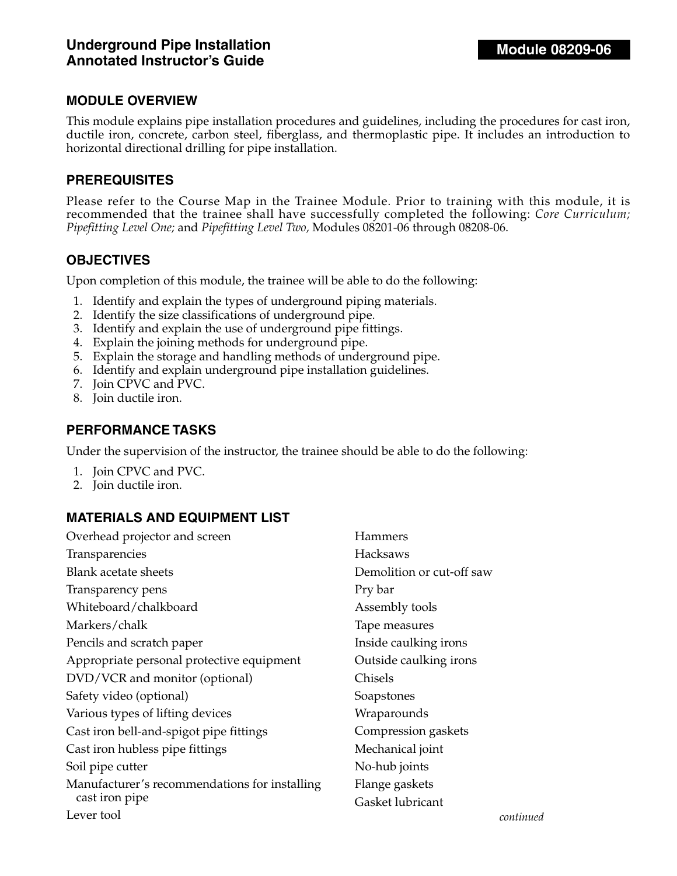This module explains pipe installation procedures and guidelines, including the procedures for cast iron, ductile iron, concrete, carbon steel, fiberglass, and thermoplastic pipe. It includes an introduction to horizontal directional drilling for pipe installation.

#### **PREREQUISITES**

Please refer to the Course Map in the Trainee Module. Prior to training with this module, it is recommended that the trainee shall have successfully completed the following: *Core Curriculum; Pipefitting Level One;* and *Pipefitting Level Two,* Modules 08201-06 through 08208-06.

### **OBJECTIVES**

Upon completion of this module, the trainee will be able to do the following:

- 1. Identify and explain the types of underground piping materials.
- 2. Identify the size classifications of underground pipe.
- 3. Identify and explain the use of underground pipe fittings.
- 4. Explain the joining methods for underground pipe.
- 5. Explain the storage and handling methods of underground pipe.
- 6. Identify and explain underground pipe installation guidelines.
- 7. Join CPVC and PVC.
- 8. Join ductile iron.

#### **PERFORMANCE TASKS**

Under the supervision of the instructor, the trainee should be able to do the following:

- 1. Join CPVC and PVC.
- 2. Join ductile iron.

### **MATERIALS AND EQUIPMENT LIST**

| Overhead projector and screen                 | Hammers                   |      |
|-----------------------------------------------|---------------------------|------|
| Transparencies                                | <b>Hacksaws</b>           |      |
| Blank acetate sheets                          | Demolition or cut-off saw |      |
| Transparency pens                             | Pry bar                   |      |
| Whiteboard/chalkboard                         | Assembly tools            |      |
| Markers/chalk                                 | Tape measures             |      |
| Pencils and scratch paper                     | Inside caulking irons     |      |
| Appropriate personal protective equipment     | Outside caulking irons    |      |
| DVD/VCR and monitor (optional)                | Chisels                   |      |
| Safety video (optional)                       | Soapstones                |      |
| Various types of lifting devices              | Wraparounds               |      |
| Cast iron bell-and-spigot pipe fittings       | Compression gaskets       |      |
| Cast iron hubless pipe fittings               | Mechanical joint          |      |
| Soil pipe cutter                              | No-hub joints             |      |
| Manufacturer's recommendations for installing | Flange gaskets            |      |
| cast iron pipe                                | Gasket lubricant          |      |
| Lever tool                                    |                           | cont |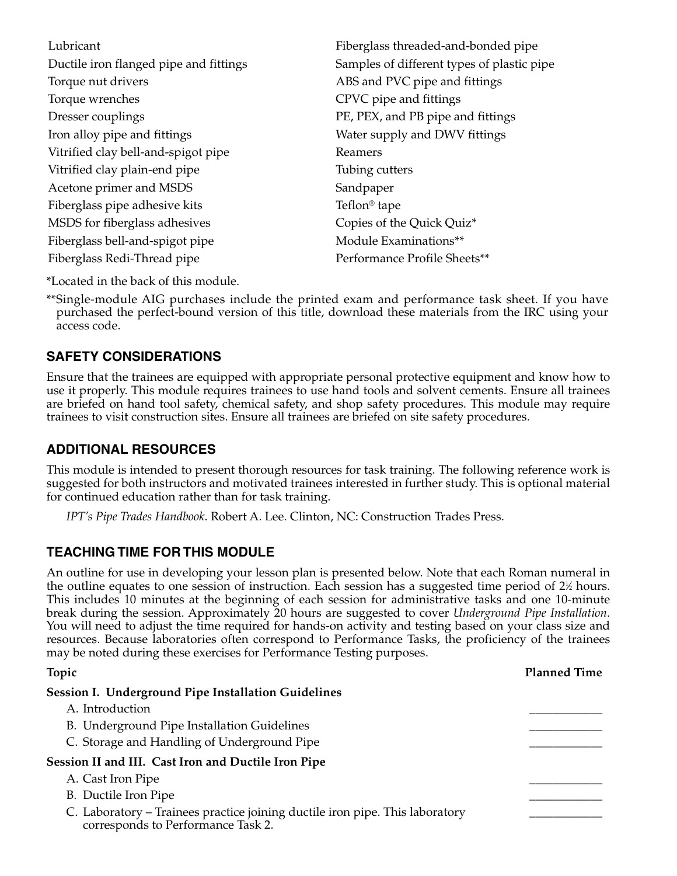| Lubricant                              | Fiberglass threaded-and-bonded pipe        |
|----------------------------------------|--------------------------------------------|
| Ductile iron flanged pipe and fittings | Samples of different types of plastic pipe |
| Torque nut drivers                     | ABS and PVC pipe and fittings              |
| Torque wrenches                        | CPVC pipe and fittings                     |
| Dresser couplings                      | PE, PEX, and PB pipe and fittings          |
| Iron alloy pipe and fittings           | Water supply and DWV fittings              |
| Vitrified clay bell-and-spigot pipe    | Reamers                                    |
| Vitrified clay plain-end pipe          | Tubing cutters                             |
| Acetone primer and MSDS                | Sandpaper                                  |
| Fiberglass pipe adhesive kits          | Teflon <sup>®</sup> tape                   |
| MSDS for fiberglass adhesives          | Copies of the Quick Quiz*                  |
| Fiberglass bell-and-spigot pipe        | Module Examinations**                      |
| Fiberglass Redi-Thread pipe            | Performance Profile Sheets**               |

\*Located in the back of this module.

\*\*Single-module AIG purchases include the printed exam and performance task sheet. If you have purchased the perfect-bound version of this title, download these materials from the IRC using your access code.

# **SAFETY CONSIDERATIONS**

Ensure that the trainees are equipped with appropriate personal protective equipment and know how to use it properly. This module requires trainees to use hand tools and solvent cements. Ensure all trainees are briefed on hand tool safety, chemical safety, and shop safety procedures. This module may require trainees to visit construction sites. Ensure all trainees are briefed on site safety procedures.

# **ADDITIONAL RESOURCES**

This module is intended to present thorough resources for task training. The following reference work is suggested for both instructors and motivated trainees interested in further study. This is optional material for continued education rather than for task training.

*IPT's Pipe Trades Handbook*. Robert A. Lee. Clinton, NC: Construction Trades Press.

# **TEACHING TIME FOR THIS MODULE**

An outline for use in developing your lesson plan is presented below. Note that each Roman numeral in the outline equates to one session of instruction. Each session has a suggested time period of  $2\%$  hours. This includes 10 minutes at the beginning of each session for administrative tasks and one 10-minute break during the session. Approximately 20 hours are suggested to cover *Underground Pipe Installation*. You will need to adjust the time required for hands-on activity and testing based on your class size and resources. Because laboratories often correspond to Performance Tasks, the proficiency of the trainees may be noted during these exercises for Performance Testing purposes.

| Topic                                                                                                              | <b>Planned Time</b> |
|--------------------------------------------------------------------------------------------------------------------|---------------------|
| Session I. Underground Pipe Installation Guidelines                                                                |                     |
| A. Introduction                                                                                                    |                     |
| B. Underground Pipe Installation Guidelines                                                                        |                     |
| C. Storage and Handling of Underground Pipe                                                                        |                     |
| Session II and III. Cast Iron and Ductile Iron Pipe                                                                |                     |
| A. Cast Iron Pipe                                                                                                  |                     |
| B. Ductile Iron Pipe                                                                                               |                     |
| C. Laboratory – Trainees practice joining ductile iron pipe. This laboratory<br>corresponds to Performance Task 2. |                     |
|                                                                                                                    |                     |